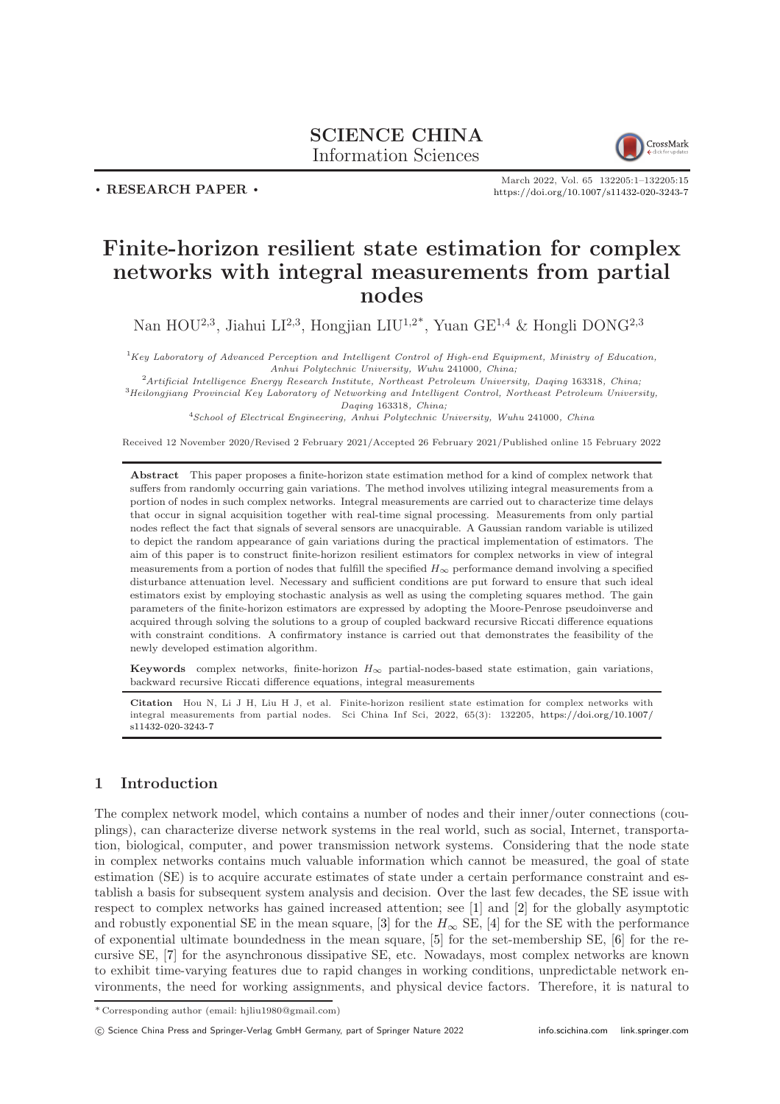# SCIENCE CHINA Information Sciences



. RESEARCH PAPER .

March 2022, Vol. 65 132205:1–132205[:15](#page-14-0) <https://doi.org/10.1007/s11432-020-3243-7>

# Finite-horizon resilient state estimation for complex networks with integral measurements from partial nodes

Nan HOU<sup>2,3</sup>, Jiahui LI<sup>2,3</sup>, Hongjian LIU<sup>1,2\*</sup>, Yuan GE<sup>1,4</sup> & Hongli DONG<sup>2,3</sup>

 ${}^{1}$ Key Laboratory of Advanced Perception and Intelligent Control of High-end Equipment, Ministry of Education, Anhui Polytechnic University, Wuhu 241000, China;

 $2$ Artificial Intelligence Energy Research Institute, Northeast Petroleum University, Daqing 163318, China;

<sup>3</sup>Heilongjiang Provincial Key Laboratory of Networking and Intelligent Control, Northeast Petroleum University, Daqing 163318, China;

<sup>4</sup>School of Electrical Engineering, Anhui Polytechnic University, Wuhu 241000, China

Received 12 November 2020/Revised 2 February 2021/Accepted 26 February 2021/Published online 15 February 2022

Abstract This paper proposes a finite-horizon state estimation method for a kind of complex network that suffers from randomly occurring gain variations. The method involves utilizing integral measurements from a portion of nodes in such complex networks. Integral measurements are carried out to characterize time delays that occur in signal acquisition together with real-time signal processing. Measurements from only partial nodes reflect the fact that signals of several sensors are unacquirable. A Gaussian random variable is utilized to depict the random appearance of gain variations during the practical implementation of estimators. The aim of this paper is to construct finite-horizon resilient estimators for complex networks in view of integral measurements from a portion of nodes that fulfill the specified  $H_{\infty}$  performance demand involving a specified disturbance attenuation level. Necessary and sufficient conditions are put forward to ensure that such ideal estimators exist by employing stochastic analysis as well as using the completing squares method. The gain parameters of the finite-horizon estimators are expressed by adopting the Moore-Penrose pseudoinverse and acquired through solving the solutions to a group of coupled backward recursive Riccati difference equations with constraint conditions. A confirmatory instance is carried out that demonstrates the feasibility of the newly developed estimation algorithm.

Keywords complex networks, finite-horizon  $H_{\infty}$  partial-nodes-based state estimation, gain variations, backward recursive Riccati difference equations, integral measurements

Citation Hou N, Li J H, Liu H J, et al. Finite-horizon resilient state estimation for complex networks with integral measurements from partial nodes. Sci China Inf Sci, 2022, 65(3): 132205, [https://doi.org/10.1007/](https://doi.org/10.1007/s11432-020-3243-7) [s11432-020-3243-7](https://doi.org/10.1007/s11432-020-3243-7)

# 1 Introduction

The complex network model, which contains a number of nodes and their inner/outer connections (couplings), can characterize diverse network systems in the real world, such as social, Internet, transportation, biological, computer, and power transmission network systems. Considering that the node state in complex networks contains much valuable information which cannot be measured, the goal of state estimation (SE) is to acquire accurate estimates of state under a certain performance constraint and establish a basis for subsequent system analysis and decision. Over the last few decades, the SE issue with respect to complex networks has gained increased attention; see [\[1\]](#page-13-0) and [\[2\]](#page-13-1) for the globally asymptotic and robustly exponential SE in the mean square, [\[3\]](#page-13-2) for the  $H_{\infty}$  SE, [\[4\]](#page-13-3) for the SE with the performance of exponential ultimate boundedness in the mean square, [\[5\]](#page-13-4) for the set-membership SE, [\[6\]](#page-13-5) for the recursive SE, [\[7\]](#page-13-6) for the asynchronous dissipative SE, etc. Nowadays, most complex networks are known to exhibit time-varying features due to rapid changes in working conditions, unpredictable network environments, the need for working assignments, and physical device factors. Therefore, it is natural to

<sup>\*</sup> Corresponding author (email: hjliu1980@gmail.com)

c Science China Press and Springer-Verlag GmbH Germany, part of Springer Nature 2022 <info.scichina.com><link.springer.com>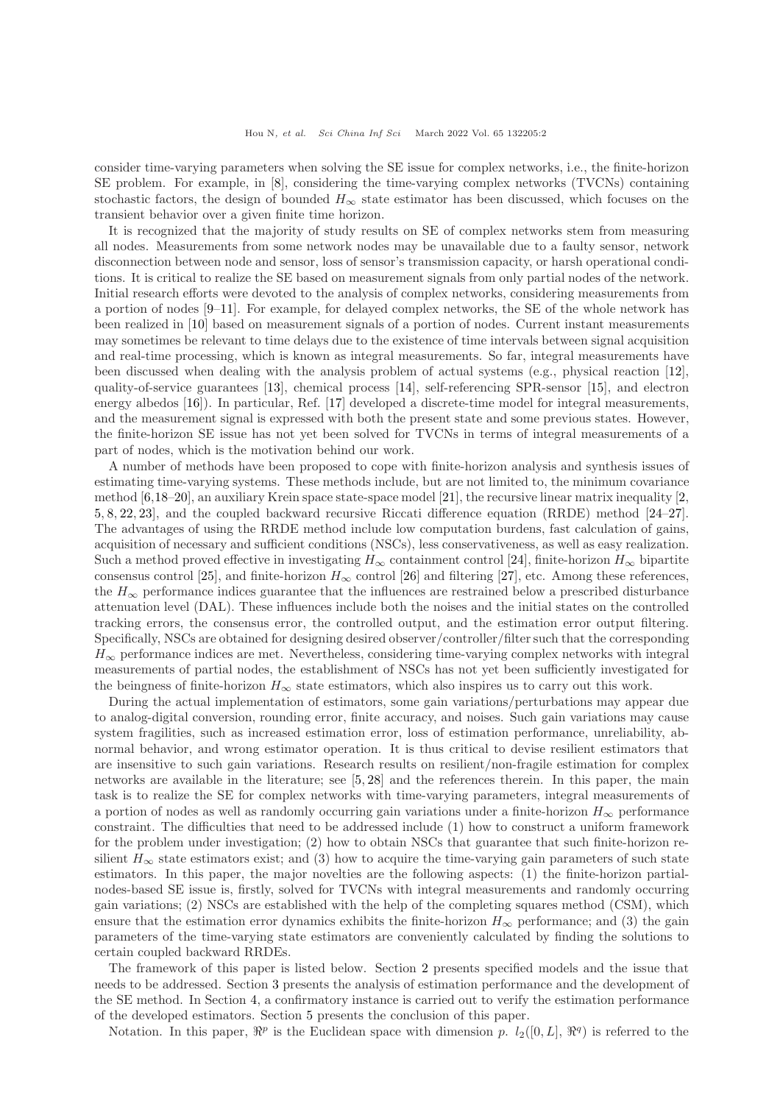consider time-varying parameters when solving the SE issue for complex networks, i.e., the finite-horizon SE problem. For example, in [\[8\]](#page-13-7), considering the time-varying complex networks (TVCNs) containing stochastic factors, the design of bounded  $H_{\infty}$  state estimator has been discussed, which focuses on the transient behavior over a given finite time horizon.

It is recognized that the majority of study results on SE of complex networks stem from measuring all nodes. Measurements from some network nodes may be unavailable due to a faulty sensor, network disconnection between node and sensor, loss of sensor's transmission capacity, or harsh operational conditions. It is critical to realize the SE based on measurement signals from only partial nodes of the network. Initial research efforts were devoted to the analysis of complex networks, considering measurements from a portion of nodes [\[9–](#page-13-8)[11\]](#page-13-9). For example, for delayed complex networks, the SE of the whole network has been realized in [\[10\]](#page-13-10) based on measurement signals of a portion of nodes. Current instant measurements may sometimes be relevant to time delays due to the existence of time intervals between signal acquisition and real-time processing, which is known as integral measurements. So far, integral measurements have been discussed when dealing with the analysis problem of actual systems (e.g., physical reaction [\[12\]](#page-13-11), quality-of-service guarantees [\[13\]](#page-13-12), chemical process [\[14\]](#page-13-13), self-referencing SPR-sensor [\[15\]](#page-13-14), and electron energy albedos [\[16\]](#page-13-15)). In particular, Ref. [\[17\]](#page-13-16) developed a discrete-time model for integral measurements, and the measurement signal is expressed with both the present state and some previous states. However, the finite-horizon SE issue has not yet been solved for TVCNs in terms of integral measurements of a part of nodes, which is the motivation behind our work.

A number of methods have been proposed to cope with finite-horizon analysis and synthesis issues of estimating time-varying systems. These methods include, but are not limited to, the minimum covariance method [\[6,](#page-13-5)[18](#page-13-17)[–20\]](#page-13-18), an auxiliary Krein space state-space model [\[21\]](#page-14-1), the recursive linear matrix inequality [\[2,](#page-13-1) [5,](#page-13-4) [8,](#page-13-7) [22,](#page-14-2) [23\]](#page-14-3), and the coupled backward recursive Riccati difference equation (RRDE) method [\[24](#page-14-4)[–27\]](#page-14-5). The advantages of using the RRDE method include low computation burdens, fast calculation of gains, acquisition of necessary and sufficient conditions (NSCs), less conservativeness, as well as easy realization. Such a method proved effective in investigating  $H_{\infty}$  containment control [\[24\]](#page-14-4), finite-horizon  $H_{\infty}$  bipartite consensus control [\[25\]](#page-14-6), and finite-horizon  $H_{\infty}$  control [\[26\]](#page-14-7) and filtering [\[27\]](#page-14-5), etc. Among these references, the  $H_{\infty}$  performance indices guarantee that the influences are restrained below a prescribed disturbance attenuation level (DAL). These influences include both the noises and the initial states on the controlled tracking errors, the consensus error, the controlled output, and the estimation error output filtering. Specifically, NSCs are obtained for designing desired observer/controller/filter such that the corresponding  $H_{\infty}$  performance indices are met. Nevertheless, considering time-varying complex networks with integral measurements of partial nodes, the establishment of NSCs has not yet been sufficiently investigated for the beingness of finite-horizon  $H_{\infty}$  state estimators, which also inspires us to carry out this work.

During the actual implementation of estimators, some gain variations/perturbations may appear due to analog-digital conversion, rounding error, finite accuracy, and noises. Such gain variations may cause system fragilities, such as increased estimation error, loss of estimation performance, unreliability, abnormal behavior, and wrong estimator operation. It is thus critical to devise resilient estimators that are insensitive to such gain variations. Research results on resilient/non-fragile estimation for complex networks are available in the literature; see [\[5,](#page-13-4) [28\]](#page-14-8) and the references therein. In this paper, the main task is to realize the SE for complex networks with time-varying parameters, integral measurements of a portion of nodes as well as randomly occurring gain variations under a finite-horizon  $H_{\infty}$  performance constraint. The difficulties that need to be addressed include (1) how to construct a uniform framework for the problem under investigation; (2) how to obtain NSCs that guarantee that such finite-horizon resilient  $H_{\infty}$  state estimators exist; and (3) how to acquire the time-varying gain parameters of such state estimators. In this paper, the major novelties are the following aspects: (1) the finite-horizon partialnodes-based SE issue is, firstly, solved for TVCNs with integral measurements and randomly occurring gain variations; (2) NSCs are established with the help of the completing squares method (CSM), which ensure that the estimation error dynamics exhibits the finite-horizon  $H_{\infty}$  performance; and (3) the gain parameters of the time-varying state estimators are conveniently calculated by finding the solutions to certain coupled backward RRDEs.

The framework of this paper is listed below. Section [2](#page-2-0) presents specified models and the issue that needs to be addressed. Section [3](#page-4-0) presents the analysis of estimation performance and the development of the SE method. In Section [4,](#page-10-0) a confirmatory instance is carried out to verify the estimation performance of the developed estimators. Section [5](#page-11-0) presents the conclusion of this paper.

Notation. In this paper,  $\mathbb{R}^p$  is the Euclidean space with dimension p.  $l_2([0,L], \mathbb{R}^q)$  is referred to the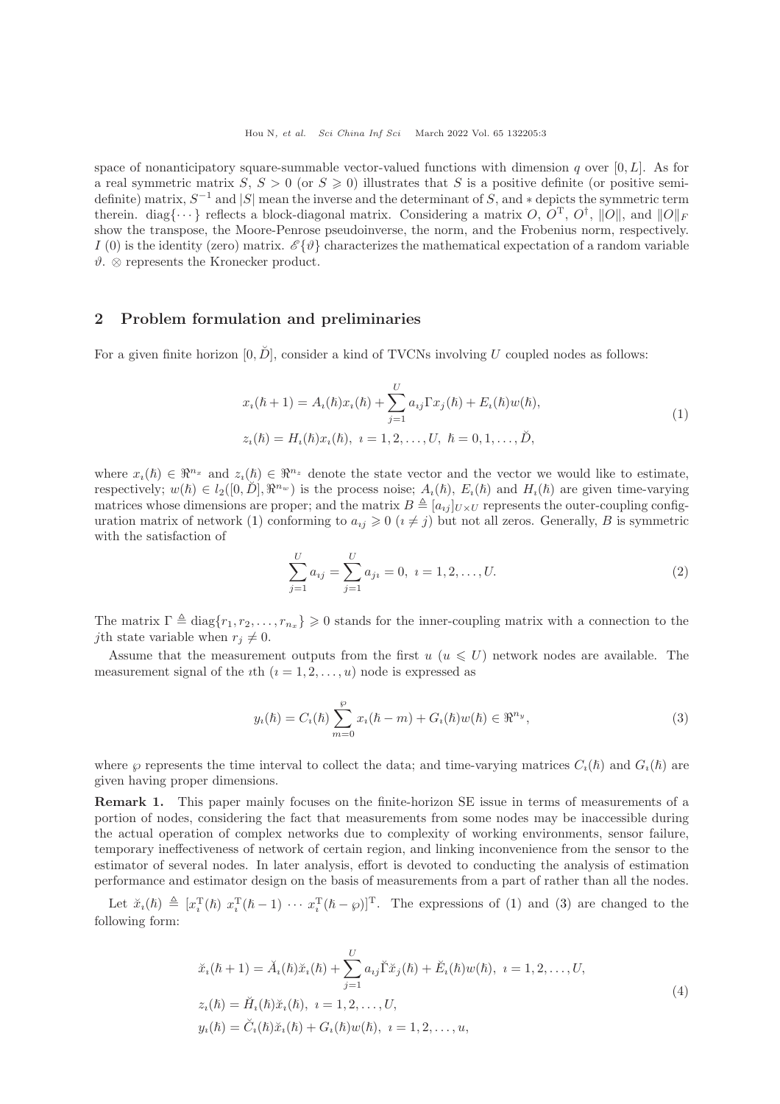space of nonanticipatory square-summable vector-valued functions with dimension q over  $[0, L]$ . As for a real symmetric matrix  $S, S > 0$  (or  $S \ge 0$ ) illustrates that S is a positive definite (or positive semidefinite) matrix,  $S^{-1}$  and  $|S|$  mean the inverse and the determinant of S, and  $*$  depicts the symmetric term therein. diag $\{\cdots\}$  reflects a block-diagonal matrix. Considering a matrix O,  $O^{\text{T}}$ ,  $O^{\dagger}$ ,  $||O||$ , and  $||O||_F$ show the transpose, the Moore-Penrose pseudoinverse, the norm, and the Frobenius norm, respectively. I (0) is the identity (zero) matrix.  $\mathscr{E}\{\vartheta\}$  characterizes the mathematical expectation of a random variable  $\vartheta$ . ⊗ represents the Kronecker product.

#### <span id="page-2-0"></span>2 Problem formulation and preliminaries

For a given finite horizon  $[0, \check{D}]$ , consider a kind of TVCNs involving U coupled nodes as follows:

$$
x_i(\hbar + 1) = A_i(\hbar)x_i(\hbar) + \sum_{j=1}^{U} a_{ij} \Gamma x_j(\hbar) + E_i(\hbar)w(\hbar),
$$
  
\n
$$
z_i(\hbar) = H_i(\hbar)x_i(\hbar), \quad i = 1, 2, ..., U, \quad \hbar = 0, 1, ..., \tilde{D},
$$
\n(1)

where  $x_i(\hbar) \in \mathbb{R}^{n_x}$  and  $z_i(\hbar) \in \mathbb{R}^{n_z}$  denote the state vector and the vector we would like to estimate, respectively;  $w(h) \in l_2([0, \check{D}], \mathbb{R}^{n_w})$  is the process noise;  $A_i(h)$ ,  $E_i(h)$  and  $H_i(h)$  are given time-varying matrices whose dimensions are proper; and the matrix  $B \triangleq [a_{ij}]_{U\times U}$  represents the outer-coupling config-uration matrix of network [\(1\)](#page-2-1) conforming to  $a_{ij} \geq 0$   $(i \neq j)$  but not all zeros. Generally, B is symmetric with the satisfaction of

<span id="page-2-1"></span>
$$
\sum_{j=1}^{U} a_{ij} = \sum_{j=1}^{U} a_{ji} = 0, \ i = 1, 2, \dots, U.
$$
 (2)

The matrix  $\Gamma \triangleq \text{diag}\{r_1, r_2, \ldots, r_{n_x}\} \geq 0$  stands for the inner-coupling matrix with a connection to the *j*th state variable when  $r_j \neq 0$ .

Assume that the measurement outputs from the first  $u (u \leq U)$  network nodes are available. The measurement signal of the *i*th  $(i = 1, 2, ..., u)$  node is expressed as

<span id="page-2-2"></span>
$$
y_i(\hbar) = C_i(\hbar) \sum_{m=0}^{\wp} x_i(\hbar - m) + G_i(\hbar)w(\hbar) \in \Re^{n_y},
$$
\n(3)

where  $\wp$  represents the time interval to collect the data; and time-varying matrices  $C_i(\hbar)$  and  $G_i(\hbar)$  are given having proper dimensions.

Remark 1. This paper mainly focuses on the finite-horizon SE issue in terms of measurements of a portion of nodes, considering the fact that measurements from some nodes may be inaccessible during the actual operation of complex networks due to complexity of working environments, sensor failure, temporary ineffectiveness of network of certain region, and linking inconvenience from the sensor to the estimator of several nodes. In later analysis, effort is devoted to conducting the analysis of estimation performance and estimator design on the basis of measurements from a part of rather than all the nodes.

Let  $\check{x}_i(\hbar) \triangleq [x_i^T(\hbar) x_i^T(\hbar-1) \cdots x_i^T(\hbar-\varrho)]^T$ . The expressions of [\(1\)](#page-2-1) and [\(3\)](#page-2-2) are changed to the following form:

$$
\tilde{x}_{i}(\hbar+1) = \check{A}_{i}(\hbar)\tilde{x}_{i}(\hbar) + \sum_{j=1}^{U} a_{ij} \check{\Gamma} \tilde{x}_{j}(\hbar) + \check{E}_{i}(\hbar) w(\hbar), \quad i = 1, 2, \dots, U,
$$
\n
$$
z_{i}(\hbar) = \check{H}_{i}(\hbar)\tilde{x}_{i}(\hbar), \quad i = 1, 2, \dots, U,
$$
\n
$$
y_{i}(\hbar) = \check{C}_{i}(\hbar)\tilde{x}_{i}(\hbar) + G_{i}(\hbar) w(\hbar), \quad i = 1, 2, \dots, u,
$$
\n(4)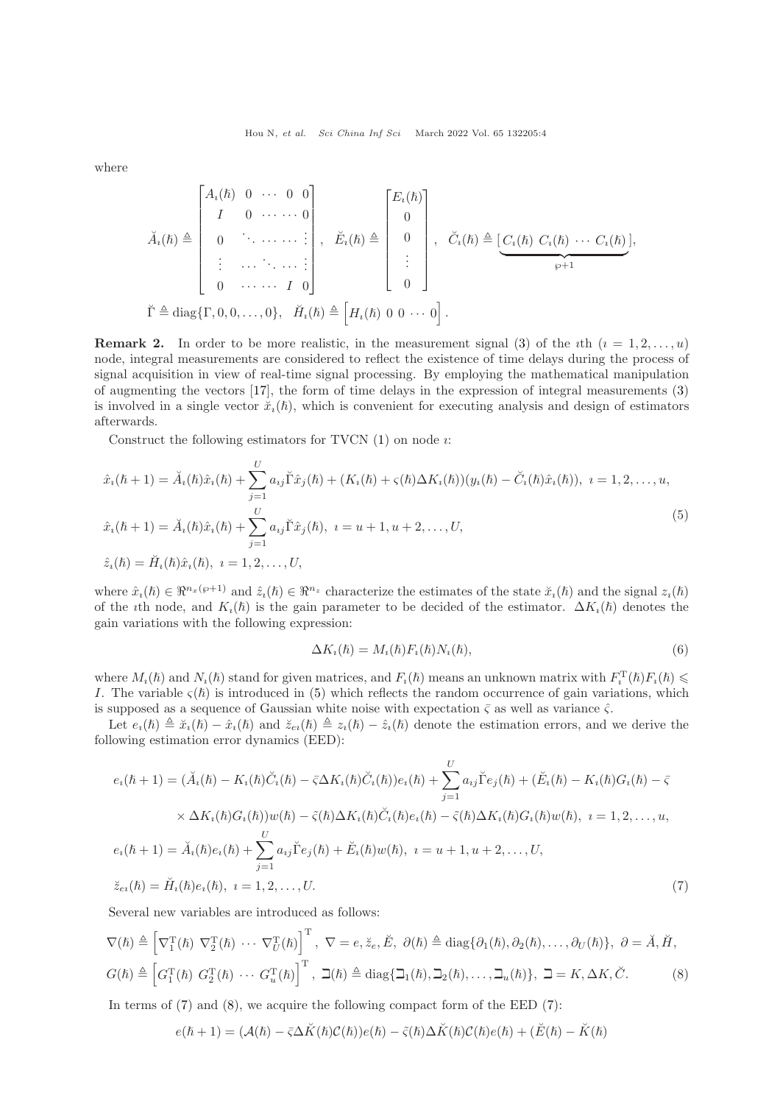where

$$
\breve{A}_{i}(\hbar) \triangleq \begin{bmatrix}\nA_{i}(\hbar) & 0 & \cdots & 0 & 0 \\
I & 0 & \cdots & \cdots & 0 \\
0 & \ddots & \cdots & \cdots & \vdots \\
\vdots & \cdots & \ddots & \cdots & \vdots \\
0 & \cdots & \cdots & I & 0\n\end{bmatrix}, \quad \breve{E}_{i}(\hbar) \triangleq \begin{bmatrix}\nE_{i}(\hbar) \\
0 \\
0 \\
\vdots \\
0\n\end{bmatrix}, \quad \breve{C}_{i}(\hbar) \triangleq \begin{bmatrix}\nC_{i}(\hbar) & C_{i}(\hbar) & \cdots & C_{i}(\hbar)\n\end{bmatrix},
$$
\n
$$
\breve{\Gamma} \triangleq \text{diag}\{\Gamma, 0, 0, \ldots, 0\}, \quad \breve{H}_{i}(\hbar) \triangleq \begin{bmatrix}\nH_{i}(\hbar) & 0 & 0 & \cdots & 0\n\end{bmatrix}.
$$

**Remark 2.** In order to be more realistic, in the measurement signal [\(3\)](#page-2-2) of the *i*th  $(i = 1, 2, \ldots, u)$ node, integral measurements are considered to reflect the existence of time delays during the process of signal acquisition in view of real-time signal processing. By employing the mathematical manipulation of augmenting the vectors [\[17\]](#page-13-16), the form of time delays in the expression of integral measurements [\(3\)](#page-2-2) is involved in a single vector  $\check{x}_i(\hbar)$ , which is convenient for executing analysis and design of estimators afterwards.

Construct the following estimators for TVCN  $(1)$  on node  $\imath$ :

$$
\hat{x}_{i}(\hbar+1) = \check{A}_{i}(\hbar)\hat{x}_{i}(\hbar) + \sum_{j=1}^{U} a_{ij} \check{\Gamma} \hat{x}_{j}(\hbar) + (K_{i}(\hbar) + \varsigma(\hbar)\Delta K_{i}(\hbar))(y_{i}(\hbar) - \check{C}_{i}(\hbar)\hat{x}_{i}(\hbar)), \quad i = 1, 2, ..., u,
$$
\n
$$
\hat{x}_{i}(\hbar+1) = \check{A}_{i}(\hbar)\hat{x}_{i}(\hbar) + \sum_{j=1}^{U} a_{ij} \check{\Gamma} \hat{x}_{j}(\hbar), \quad i = u+1, u+2, ..., U,
$$
\n
$$
\hat{z}_{i}(\hbar) = \check{H}_{i}(\hbar)\hat{x}_{i}(\hbar), \quad i = 1, 2, ..., U,
$$
\n(5)

where  $\hat{x}_i(\hbar) \in \mathbb{R}^{n_x(\wp+1)}$  and  $\hat{z}_i(\hbar) \in \mathbb{R}^{n_z}$  characterize the estimates of the state  $\check{x}_i(\hbar)$  and the signal  $z_i(\hbar)$ of the *i*th node, and  $K_i(\hbar)$  is the gain parameter to be decided of the estimator.  $\Delta K_i(\hbar)$  denotes the gain variations with the following expression:

<span id="page-3-3"></span><span id="page-3-2"></span><span id="page-3-1"></span><span id="page-3-0"></span>
$$
\Delta K_i(\hbar) = M_i(\hbar) F_i(\hbar) N_i(\hbar), \tag{6}
$$

where  $M_i(\hbar)$  and  $N_i(\hbar)$  stand for given matrices, and  $F_i(\hbar)$  means an unknown matrix with  $F_i^{\rm T}(\hbar)F_i(\hbar) \leq$ I. The variable  $\varsigma(\hslash)$  is introduced in [\(5\)](#page-3-0) which reflects the random occurrence of gain variations, which is supposed as a sequence of Gaussian white noise with expectation  $\bar{\zeta}$  as well as variance  $\hat{\zeta}$ .

Let  $e_i(\hbar) \triangleq \check{x}_i(\hbar) - \hat{x}_i(\hbar)$  and  $\check{z}_{ei}(\hbar) \triangleq z_i(\hbar) - \hat{z}_i(\hbar)$  denote the estimation errors, and we derive the following estimation error dynamics (EED):

$$
e_{i}(\hbar + 1) = (\check{A}_{i}(\hbar) - K_{i}(\hbar)\check{C}_{i}(\hbar) - \bar{\varsigma}\Delta K_{i}(\hbar)\check{C}_{i}(\hbar))e_{i}(\hbar) + \sum_{j=1}^{U} a_{ij}\check{\Gamma}e_{j}(\hbar) + (\check{E}_{i}(\hbar) - K_{i}(\hbar)G_{i}(\hbar) - \bar{\varsigma}
$$
  
 
$$
\times \Delta K_{i}(\hbar)G_{i}(\hbar))w(\hbar) - \tilde{\varsigma}(\hbar)\Delta K_{i}(\hbar)\check{C}_{i}(\hbar)e_{i}(\hbar) - \tilde{\varsigma}(\hbar)\Delta K_{i}(\hbar)G_{i}(\hbar)w(\hbar), \quad i = 1, 2, ..., u,
$$
  
\n
$$
e_{i}(\hbar + 1) = \check{A}_{i}(\hbar)e_{i}(\hbar) + \sum_{j=1}^{U} a_{ij}\check{\Gamma}e_{j}(\hbar) + \check{E}_{i}(\hbar)w(\hbar), \quad i = u + 1, u + 2, ..., U,
$$
  
\n
$$
\check{z}_{ei}(\hbar) = \check{H}_{i}(\hbar)e_{i}(\hbar), \quad i = 1, 2, ..., U.
$$
\n(7)

Several new variables are introduced as follows:

$$
\nabla(\hbar) \triangleq \left[\nabla_1^{\mathrm{T}}(\hbar) \ \nabla_2^{\mathrm{T}}(\hbar) \ \cdots \ \nabla_U^{\mathrm{T}}(\hbar)\right]^{\mathrm{T}}, \ \nabla = e, \breve{z}_e, \breve{E}, \ \partial(\hbar) \triangleq \mathrm{diag}\{\partial_1(\hbar), \partial_2(\hbar), \dots, \partial_U(\hbar)\}, \ \partial = \breve{A}, \breve{H},
$$
  

$$
G(\hbar) \triangleq \left[G_1^{\mathrm{T}}(\hbar) \ G_2^{\mathrm{T}}(\hbar) \ \cdots \ G_u^{\mathrm{T}}(\hbar)\right]^{\mathrm{T}}, \ \beth(\hbar) \triangleq \mathrm{diag}\{\beth_1(\hbar), \beth_2(\hbar), \dots, \beth_u(\hbar)\}, \ \beth = K, \Delta K, \breve{C}.
$$
 (8)

In terms of  $(7)$  and  $(8)$ , we acquire the following compact form of the EED  $(7)$ :

$$
e(\hbar + 1) = (\mathcal{A}(\hbar) - \bar{\varsigma} \Delta \breve{K}(\hbar) \mathcal{C}(\hbar)) e(\hbar) - \tilde{\varsigma}(\hbar) \Delta \breve{K}(\hbar) \mathcal{C}(\hbar) e(\hbar) + (\breve{E}(\hbar) - \breve{K}(\hbar))
$$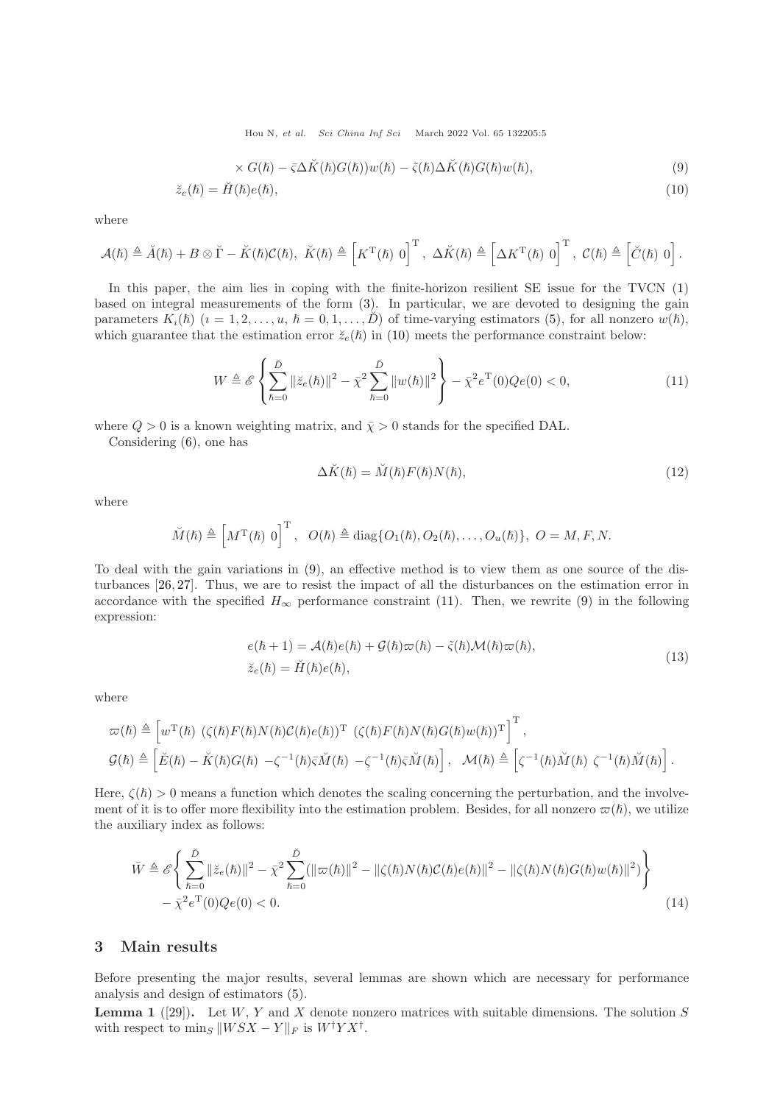<span id="page-4-2"></span><span id="page-4-1"></span>Hou N, et al. Sci China Inf Sci March 2022 Vol. 65 132205:5

$$
\times G(\hbar) - \bar{\varsigma} \Delta \breve{K}(\hbar) G(\hbar)) w(\hbar) - \tilde{\varsigma}(\hbar) \Delta \breve{K}(\hbar) G(\hbar) w(\hbar), \tag{9}
$$

$$
\breve{z}_e(\hbar) = \breve{H}(\hbar)e(\hbar),\tag{10}
$$

where

$$
\mathcal{A}(\hbar) \triangleq \breve{A}(\hbar) + B \otimes \breve{\Gamma} - \breve{K}(\hbar)\mathcal{C}(\hbar), \ \breve{K}(\hbar) \triangleq \left[K^{\mathrm{T}}(\hbar) \ 0\right]^{\mathrm{T}}, \ \Delta \breve{K}(\hbar) \triangleq \left[\Delta K^{\mathrm{T}}(\hbar) \ 0\right]^{\mathrm{T}}, \ \mathcal{C}(\hbar) \triangleq \left[\breve{C}(\hbar) \ 0\right].
$$

In this paper, the aim lies in coping with the finite-horizon resilient SE issue for the TVCN [\(1\)](#page-2-1) based on integral measurements of the form [\(3\)](#page-2-2). In particular, we are devoted to designing the gain parameters  $K_i(\hbar)$   $(i = 1, 2, \ldots, u, \hbar = 0, 1, \ldots, D)$  of time-varying estimators [\(5\)](#page-3-0), for all nonzero  $w(\hbar)$ , which guarantee that the estimation error  $\breve{z}_{e}(\hbar)$  in [\(10\)](#page-4-1) meets the performance constraint below:

$$
W \triangleq \mathcal{E}\left\{\sum_{\hbar=0}^{\check{D}} \|\breve{z}_{e}(\hbar)\|^{2} - \bar{\chi}^{2} \sum_{\hbar=0}^{\check{D}} \|w(\hbar)\|^{2}\right\} - \bar{\chi}^{2} e^{\mathrm{T}}(0) Q e(0) < 0, \tag{11}
$$

where  $Q > 0$  is a known weighting matrix, and  $\bar{\chi} > 0$  stands for the specified DAL.

Considering [\(6\)](#page-3-3), one has

<span id="page-4-4"></span><span id="page-4-3"></span>
$$
\Delta \breve{K}(\hbar) = \breve{M}(\hbar) F(\hbar) N(\hbar),\tag{12}
$$

where

$$
\check{M}(\hbar) \triangleq \left[M^{\mathrm{T}}(\hbar) 0\right]^{\mathrm{T}}, \quad O(\hbar) \triangleq \mathrm{diag}\{O_1(\hbar), O_2(\hbar), \ldots, O_u(\hbar)\}, \ O = M, F, N.
$$

To deal with the gain variations in [\(9\)](#page-4-2), an effective method is to view them as one source of the disturbances [\[26,](#page-14-7) [27\]](#page-14-5). Thus, we are to resist the impact of all the disturbances on the estimation error in accordance with the specified  $H_{\infty}$  performance constraint [\(11\)](#page-4-3). Then, we rewrite [\(9\)](#page-4-2) in the following expression:

<span id="page-4-5"></span>
$$
e(\hbar + 1) = \mathcal{A}(\hbar)e(\hbar) + \mathcal{G}(\hbar)\varpi(\hbar) - \tilde{\varsigma}(\hbar)\mathcal{M}(\hbar)\varpi(\hbar),
$$
  
\n
$$
\check{z}_e(\hbar) = \check{H}(\hbar)e(\hbar),
$$
\n(13)

where

$$
\begin{split} &\varpi(\hbar) \triangleq \left[ w^{\mathrm{T}}(\hbar) \ (\zeta(\hbar)F(\hbar)N(\hbar)\mathcal{C}(\hbar)e(\hbar))^{\mathrm{T}} \ (\zeta(\hbar)F(\hbar)N(\hbar)G(\hbar)w(\hbar))^{\mathrm{T}} \right]^{\mathrm{T}}, \\ &\mathcal{G}(\hbar) \triangleq \left[ \check{E}(\hbar) - \check{K}(\hbar)G(\hbar) - \zeta^{-1}(\hbar)\bar{\zeta}\check{M}(\hbar) - \zeta^{-1}(\hbar)\bar{\zeta}\check{M}(\hbar) \right], \ \ \mathcal{M}(\hbar) \triangleq \left[ \zeta^{-1}(\hbar)\check{M}(\hbar) \ \zeta^{-1}(\hbar)\check{M}(\hbar) \right]. \end{split}
$$

Here,  $\zeta(\hslash) > 0$  means a function which denotes the scaling concerning the perturbation, and the involvement of it is to offer more flexibility into the estimation problem. Besides, for all nonzero  $\varpi(\hbar)$ , we utilize the auxiliary index as follows:

$$
\bar{W} \triangleq \mathcal{E}\left\{\sum_{\hbar=0}^{\check{D}} \|\ddot{z}_{e}(\hbar)\|^{2} - \bar{\chi}^{2} \sum_{\hbar=0}^{\check{D}} (\|\varpi(\hbar)\|^{2} - \|\zeta(\hbar)N(\hbar)\mathcal{C}(\hbar)e(\hbar)\|^{2} - \|\zeta(\hbar)N(\hbar)G(\hbar)w(\hbar)\|^{2})\right\}
$$
  
 
$$
-\bar{\chi}^{2}e^{T}(0)Qe(0) < 0.
$$
 (14)

### <span id="page-4-0"></span>3 Main results

Before presenting the major results, several lemmas are shown which are necessary for performance analysis and design of estimators [\(5\)](#page-3-0).

<span id="page-4-6"></span>**Lemma 1** ([\[29\]](#page-14-9)). Let  $W, Y$  and X denote nonzero matrices with suitable dimensions. The solution S with respect to  $\min_S ||WSX - Y||_F$  is  $W^{\dagger}YX^{\dagger}$ .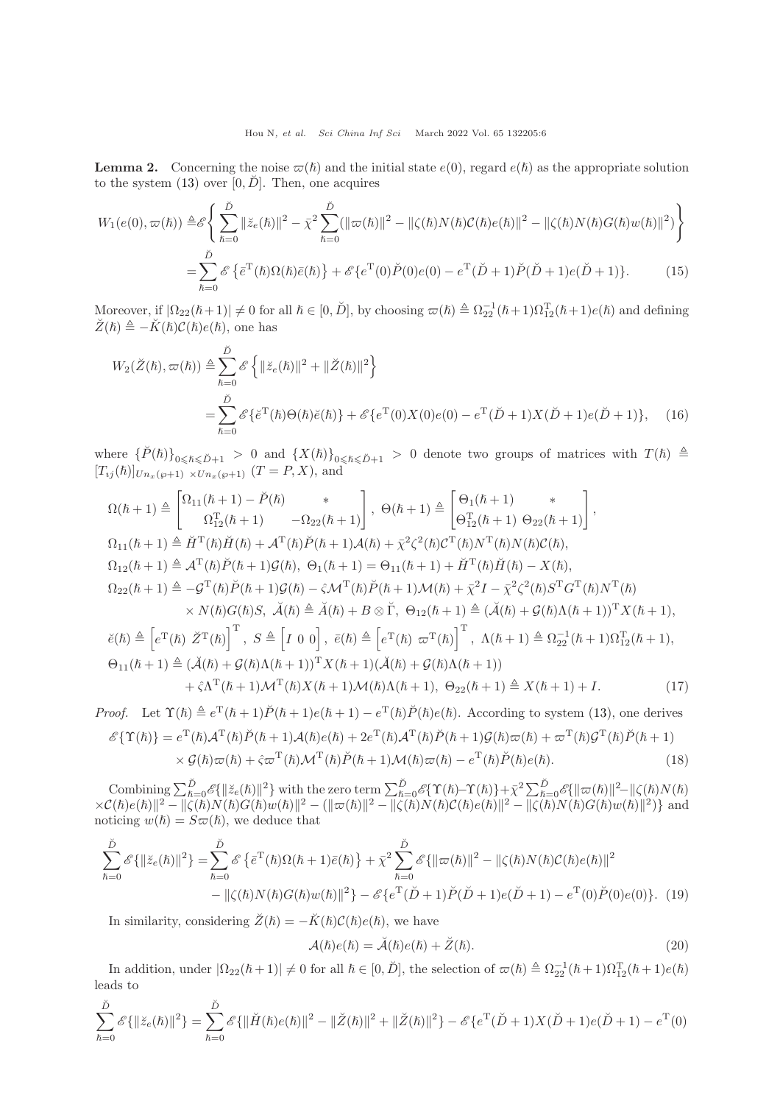<span id="page-5-3"></span>**Lemma 2.** Concerning the noise  $\varpi(\hbar)$  and the initial state  $e(0)$ , regard  $e(\hbar)$  as the appropriate solution to the system  $(13)$  over  $[0, \check{D}]$ . Then, one acquires

$$
W_1(e(0), \varpi(\hbar)) \triangleq \mathcal{E} \left\{ \sum_{\hbar=0}^{\check{D}} \|\breve{z}_e(\hbar)\|^2 - \bar{\chi}^2 \sum_{\hbar=0}^{\check{D}} (\|\varpi(\hbar)\|^2 - \|\zeta(\hbar)N(\hbar)\mathcal{C}(\hbar)e(\hbar)\|^2 - \|\zeta(\hbar)N(\hbar)G(\hbar)w(\hbar)\|^2) \right\}
$$
  
= 
$$
\sum_{\hbar=0}^{\check{D}} \mathcal{E} \left\{ \bar{e}^{\mathrm{T}}(\hbar)\Omega(\hbar)\bar{e}(\hbar) \right\} + \mathcal{E} \left\{ e^{\mathrm{T}}(0)\breve{P}(0)e(0) - e^{\mathrm{T}}(\breve{D}+1)\breve{P}(\breve{D}+1)e(\breve{D}+1) \right\}.
$$
 (15)

Moreover, if  $|\Omega_{22}(\hbar+1)| \neq 0$  for all  $\hbar \in [0, \check{D}]$ , by choosing  $\varpi(\hbar) \triangleq \Omega_{22}^{-1}(\hbar+1)\Omega_{12}^{T}(\hbar+1)e(\hbar)$  and defining  $\check{Z}(\hbar) \triangleq -\check{K}(\hbar)\mathcal{C}(\hbar)e(\hbar)$ , one has

<span id="page-5-1"></span><span id="page-5-0"></span>
$$
W_2(\breve{Z}(\hbar), \varpi(\hbar)) \triangleq \sum_{\hbar=0}^{\breve{D}} \mathscr{E}\left\{ \|\breve{z}_e(\hbar)\|^2 + \|\breve{Z}(\hbar)\|^2 \right\}
$$
  
= 
$$
\sum_{\hbar=0}^{\breve{D}} \mathscr{E}\left\{ \tilde{e}^{\mathrm{T}}(\hbar) \Theta(\hbar) \breve{e}(\hbar) \right\} + \mathscr{E}\left\{ e^{\mathrm{T}}(0) X(0) e(0) - e^{\mathrm{T}} (\breve{D} + 1) X(\breve{D} + 1) e(\breve{D} + 1) \right\}, \quad (16)
$$

where  $\{\check{P}(\hbar)\}_{0\leqslant \hbar\leqslant \check{D}+1} > 0$  and  $\{X(\hbar)\}_{0\leqslant \check{h}\leqslant \check{D}+1} > 0$  denote two groups of matrices with  $T(\hbar) \triangleq$  $[T_{ij}(\hbar)]_{Un_x(\wp+1) \times Un_x(\wp+1)}$   $(T = P, X)$ , and

$$
\Omega(\hbar+1) \triangleq \begin{bmatrix} \Omega_{11}(\hbar+1) - \check{P}(\hbar) & * \\ \Omega_{12}^T(\hbar+1) & -\Omega_{22}(\hbar+1) \end{bmatrix}, \ \Theta(\hbar+1) \triangleq \begin{bmatrix} \Theta_1(\hbar+1) & * \\ \Theta_{12}^T(\hbar+1) & \Theta_{22}(\hbar+1) \end{bmatrix},
$$
  
\n
$$
\Omega_{11}(\hbar+1) \triangleq \check{H}^T(\hbar)\check{H}(\hbar) + \mathcal{A}^T(\hbar)\check{P}(\hbar+1)\mathcal{A}(\hbar) + \bar{\chi}^2 \zeta^2(\hbar)\mathcal{C}^T(\hbar)N^T(\hbar)N(\hbar)\mathcal{C}(\hbar),
$$
  
\n
$$
\Omega_{12}(\hbar+1) \triangleq \mathcal{A}^T(\hbar)\check{P}(\hbar+1)\mathcal{G}(\hbar), \ \Theta_1(\hbar+1) = \Theta_{11}(\hbar+1) + \check{H}^T(\hbar)\check{H}(\hbar) - X(\hbar),
$$
  
\n
$$
\Omega_{22}(\hbar+1) \triangleq -\mathcal{G}^T(\hbar)\check{P}(\hbar+1)\mathcal{G}(\hbar) - \hat{\varsigma}\mathcal{M}^T(\hbar)\check{P}(\hbar+1)\mathcal{M}(\hbar) + \bar{\chi}^2I - \bar{\chi}^2 \zeta^2(\hbar)\mathcal{S}^T\mathcal{G}^T(\hbar)N^T(\hbar)
$$
  
\n
$$
\times N(\hbar)\mathcal{G}(\hbar)S, \ \check{\mathcal{A}}(\hbar) \triangleq \check{A}(\hbar) + B \otimes \check{\Gamma}, \ \Theta_{12}(\hbar+1) \triangleq (\check{\mathcal{A}}(\hbar) + \mathcal{G}(\hbar)\Lambda(\hbar+1))^T X(\hbar+1),
$$
  
\n
$$
\check{e}(\hbar) \triangleq \left[ e^T(\hbar) \ \check{Z}^T(\hbar) \right]^T, \ S \triangleq \left[ I \ 0 \ 0 \right], \ \bar{e}(\hbar) \triangleq \left[ e^T(\hbar) \ \varpi^T(\hbar) \right]^T, \ \Lambda(\hbar+1) \triangleq \Omega_{22
$$

*Proof.* Let  $\Upsilon(\hbar) \triangleq e^{T}(\hbar+1)\check{P}(\hbar+1)e(\hbar+1) - e^{T}(\hbar)\check{P}(\hbar)e(\hbar)$ . According to system [\(13\)](#page-4-4), one derives  $\mathscr{E}\{\Upsilon(\hslash)\}=e^{\mathrm{T}}(\hslash)\mathcal{\breve{P}}(\hslash+1)\mathcal{A}(\hslash)e(\hslash)+2e^{\mathrm{T}}(\hslash)\mathcal{\breve{A}}^{\mathrm{T}}(\hslash)\breve{P}(\hslash+1)\mathcal{G}(\hslash) \varpi(\hslash)+\varpi^{\mathrm{T}}(\hslash)\mathcal{G}^{\mathrm{T}}(\hslash)\breve{P}(\hslash+1)$  $\times \mathcal{G}(\hbar) \varpi(\hbar) + \hat{\varsigma} \varpi^{\mathrm{T}}(\hbar) \mathcal{M}^{\mathrm{T}}(\hbar) \tilde{P}(\hbar + 1) \mathcal{M}(\hbar) \varpi(\hbar) - e^{\mathrm{T}}(\hbar) \tilde{P}(\hbar) e(\hbar).$  (18)

Combining  $\sum_{\hbar=0}^{\tilde{D}} \mathscr{E}\{\|\tilde{z}_{e}(\hbar)\|^2\}$  with the zero term  $\sum_{\hbar=0}^{\tilde{D}} \mathscr{E}\{\Upsilon(\hbar) - \Upsilon(\hbar)\} + \bar{\chi}^2 \sum_{\hbar=0}^{\tilde{D}} \mathscr{E}\{\|\varpi(\hbar)\|^2 - \|\zeta(\hbar)N(\hbar)\|^2\}$  $\times \mathcal{C}(\hbar) e(\hbar) \|^{2} - \| \zeta(\hbar) N(\hbar) G(\hbar) w(\hbar) \|^{2} - ( \| \varpi(\hbar) \|^{2} - \| \zeta(\hbar) N(\hbar) \mathcal{C}(\hbar) e(\hbar) \|^{2} - \| \zeta(\hbar) N(\hbar) G(\hbar) w(\hbar) \|^{2}) \}$  and noticing  $w(\hbar) = S\varpi(\hbar)$ , we deduce that

$$
\sum_{\hbar=0}^{\check{D}} \mathscr{E}\{\|\breve{z}_{e}(\hbar)\|^{2}\} = \sum_{\hbar=0}^{\check{D}} \mathscr{E}\left\{\bar{e}^{\mathrm{T}}(\hbar)\Omega(\hbar+1)\bar{e}(\hbar)\right\} + \bar{\chi}^{2} \sum_{\hbar=0}^{\check{D}} \mathscr{E}\{\|\varpi(\hbar)\|^{2} - \|\zeta(\hbar)N(\hbar)\mathcal{C}(\hbar)e(\hbar)\|^{2} - \|\zeta(\hbar)N(\hbar)\mathcal{C}(\hbar)e(\hbar)\|^{2} - \|\zeta(\hbar)N(\hbar)G(\hbar)e(\hbar)\|^{2}\} - \mathscr{E}\left\{e^{\mathrm{T}}(\check{D}+1)\check{P}(\check{D}+1)e(\check{D}+1) - e^{\mathrm{T}}(0)\check{P}(0)e(0)\right\}.\tag{19}
$$

In similarity, considering  $\breve{Z}(\hslash) = -\breve{K}(\hslash) \mathcal{C}(\hslash) e(\hslash)$ , we have

<span id="page-5-4"></span><span id="page-5-2"></span>
$$
\mathcal{A}(\hbar)e(\hbar) = \breve{\mathcal{A}}(\hbar)e(\hbar) + \breve{Z}(\hbar).
$$
\n(20)

In addition, under  $|\Omega_{22}(\hbar+1)| \neq 0$  for all  $\hbar \in [0, \check{D}]$ , the selection of  $\varpi(\hbar) \triangleq \Omega_{22}^{-1}(\hbar+1)\Omega_{12}^{T}(\hbar+1)e(\hbar)$ leads to

$$
\sum_{\hbar=0}^{\check{D}} \mathscr{E}\{\|\check{z}_{e}(\hbar)\|^{2}\} = \sum_{\hbar=0}^{\check{D}} \mathscr{E}\{\|\check{H}(\hbar)e(\hbar)\|^{2} - \|\check{Z}(\hbar)\|^{2} + \|\check{Z}(\hbar)\|^{2}\} - \mathscr{E}\{e^{T}(\check{D}+1)X(\check{D}+1)e(\check{D}+1) - e^{T}(0)\}\
$$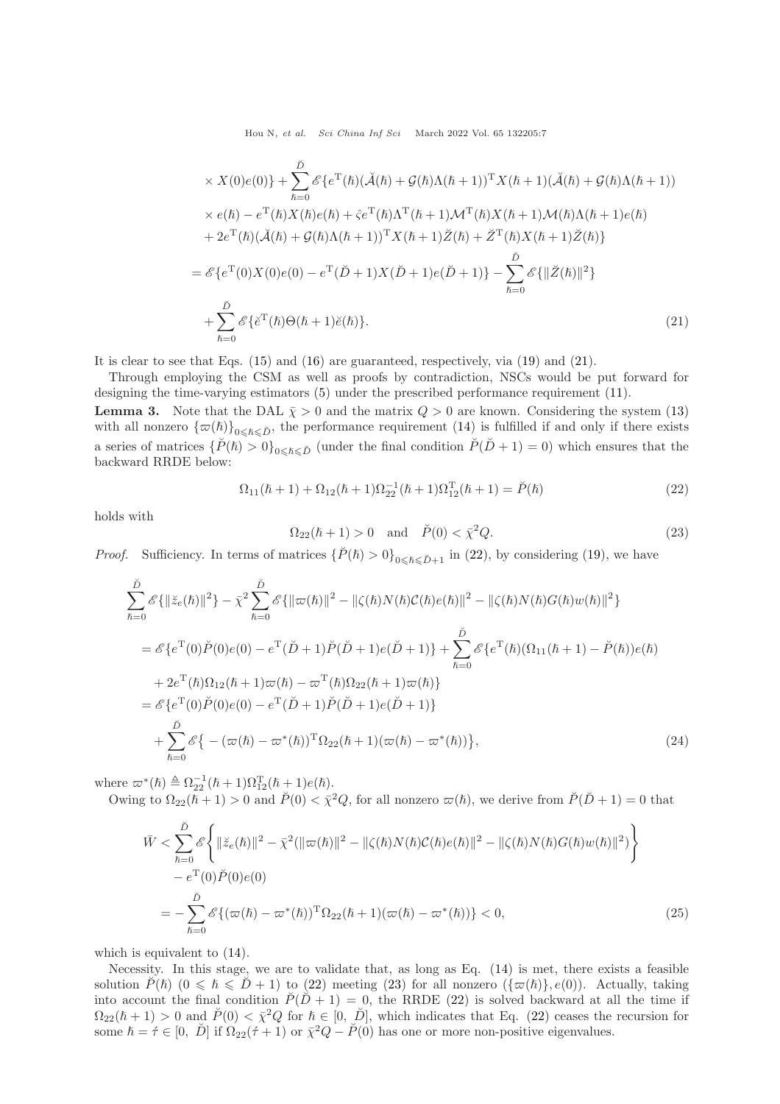Hou N, et al. Sci China Inf Sci March 2022 Vol. 65 132205:7

$$
\times X(0)e(0)\} + \sum_{\hbar=0}^{\tilde{D}} \mathscr{E}\{e^{T}(\hbar)(\check{\mathcal{A}}(\hbar) + \mathcal{G}(\hbar)\Lambda(\hbar+1))^{T} X(\hbar+1)(\check{\mathcal{A}}(\hbar) + \mathcal{G}(\hbar)\Lambda(\hbar+1))
$$
  
\n
$$
\times e(\hbar) - e^{T}(\hbar)X(\hbar)e(\hbar) + \hat{\varsigma}e^{T}(\hbar)\Lambda^{T}(\hbar+1)\mathcal{M}^{T}(\hbar)X(\hbar+1)\mathcal{M}(\hbar)\Lambda(\hbar+1)e(\hbar)
$$
  
\n
$$
+ 2e^{T}(\hbar)(\check{\mathcal{A}}(\hbar) + \mathcal{G}(\hbar)\Lambda(\hbar+1))^{T} X(\hbar+1)\check{Z}(\hbar) + \check{Z}^{T}(\hbar)X(\hbar+1)\check{Z}(\hbar)\}
$$
  
\n
$$
= \mathscr{E}\{e^{T}(0)X(0)e(0) - e^{T}(\check{D}+1)X(\check{D}+1)e(\check{D}+1)\} - \sum_{\hbar=0}^{\tilde{D}} \mathscr{E}\{\|\check{Z}(\hbar)\|^{2}\}
$$
  
\n
$$
+ \sum_{\hbar=0}^{\tilde{D}} \mathscr{E}\{\check{e}^{T}(\hbar)\Theta(\hbar+1)\check{e}(\hbar)\}.
$$
  
\n(21)

It is clear to see that Eqs. [\(15\)](#page-5-0) and [\(16\)](#page-5-1) are guaranteed, respectively, via [\(19\)](#page-5-2) and [\(21\)](#page-6-0).

Through employing the CSM as well as proofs by contradiction, NSCs would be put forward for designing the time-varying estimators [\(5\)](#page-3-0) under the prescribed performance requirement [\(11\)](#page-4-3).

<span id="page-6-4"></span>**Lemma 3.** Note that the DAL  $\bar{\chi} > 0$  and the matrix  $Q > 0$  are known. Considering the system [\(13\)](#page-4-4) with all nonzero  $\{\varpi(\hbar)\}_{0\leq \hbar\leq \check{D}}$ , the performance requirement [\(14\)](#page-4-5) is fulfilled if and only if there exists a series of matrices  $\{P(\hbar) > 0\}_{0 \leq \hbar \leq \tilde{D}}$  (under the final condition  $P(\tilde{D} + 1) = 0$ ) which ensures that the backward RRDE below:

<span id="page-6-1"></span>
$$
\Omega_{11}(\hbar + 1) + \Omega_{12}(\hbar + 1)\Omega_{22}^{-1}(\hbar + 1)\Omega_{12}^{T}(\hbar + 1) = \check{P}(\hbar)
$$
\n(22)

holds with

<span id="page-6-3"></span><span id="page-6-2"></span><span id="page-6-0"></span>
$$
\Omega_{22}(\hbar + 1) > 0 \quad \text{and} \quad \breve{P}(0) < \bar{\chi}^2 Q. \tag{23}
$$

*Proof.* Sufficiency. In terms of matrices  $\{\check{P}(\hbar) > 0\}_{0 \leq \hbar \leq \check{D}+1}$  in [\(22\)](#page-6-1), by considering [\(19\)](#page-5-2), we have

$$
\sum_{\hbar=0}^{\tilde{D}} \mathscr{E}\{||\tilde{z}_{e}(\hbar)||^{2}\} - \bar{\chi}^{2} \sum_{\hbar=0}^{\tilde{D}} \mathscr{E}\{||\varpi(\hbar)||^{2} - ||\zeta(\hbar)N(\hbar)\mathcal{C}(\hbar)e(\hbar)||^{2} - ||\zeta(\hbar)N(\hbar)G(\hbar)w(\hbar)||^{2}\}\
$$
\n
$$
= \mathscr{E}\{e^{\mathrm{T}}(0)\breve{P}(0)e(0) - e^{\mathrm{T}}(\breve{D} + 1)\breve{P}(\breve{D} + 1)e(\breve{D} + 1)\} + \sum_{\hbar=0}^{\tilde{D}} \mathscr{E}\{e^{\mathrm{T}}(\hbar)(\Omega_{11}(\hbar + 1) - \breve{P}(\hbar))e(\hbar)\}
$$
\n
$$
+ 2e^{\mathrm{T}}(\hbar)\Omega_{12}(\hbar + 1)\varpi(\hbar) - \varpi^{\mathrm{T}}(\hbar)\Omega_{22}(\hbar + 1)\varpi(\hbar)\}
$$
\n
$$
= \mathscr{E}\{e^{\mathrm{T}}(0)\breve{P}(0)e(0) - e^{\mathrm{T}}(\breve{D} + 1)\breve{P}(\breve{D} + 1)e(\breve{D} + 1)\}
$$
\n
$$
+ \sum_{\hbar=0}^{\tilde{D}} \mathscr{E}\{- (\varpi(\hbar) - \varpi^{*}(\hbar))^{\mathrm{T}}\Omega_{22}(\hbar + 1)(\varpi(\hbar) - \varpi^{*}(\hbar))\}, \tag{24}
$$

where  $\varpi^*(\hbar) \triangleq \Omega_{22}^{-1}(\hbar + 1)\Omega_{12}^{T}(\hbar + 1)e(\hbar)$ .

Owing to  $\Omega_{22}(\hbar+1) > 0$  and  $\check{P}(0) < \bar{\chi}^2 Q$ , for all nonzero  $\varpi(\hbar)$ , we derive from  $\check{P}(\check{D}+1) = 0$  that

$$
\bar{W} < \sum_{\hbar=0}^{\tilde{D}} \mathscr{E} \left\{ \|\ddot{z}_{e}(\hbar)\|^{2} - \bar{\chi}^{2}(\|\varpi(\hbar)\|^{2} - \|\zeta(\hbar)N(\hbar)\mathcal{C}(\hbar)e(\hbar)\|^{2} - \|\zeta(\hbar)N(\hbar)G(\hbar)w(\hbar)\|^{2}) \right\} \\ &- e^{\mathrm{T}}(0)\breve{P}(0)e(0) \\ &= -\sum_{\hbar=0}^{\tilde{D}} \mathscr{E}\left\{ (\varpi(\hbar) - \varpi^{*}(\hbar))^{\mathrm{T}} \Omega_{22}(\hbar + 1)(\varpi(\hbar) - \varpi^{*}(\hbar)) \right\} < 0, \tag{25}
$$

which is equivalent to [\(14\)](#page-4-5).

Necessity. In this stage, we are to validate that, as long as Eq. [\(14\)](#page-4-5) is met, there exists a feasible solution  $\check{P}(\hbar)$   $(0 \leq \hbar \leq \check{D} + 1)$  to [\(22\)](#page-6-1) meeting [\(23\)](#page-6-2) for all nonzero  $(\{\varpi(\hbar)\}\, e(0))$ . Actually, taking into account the final condition  $\tilde{P}(\tilde{D}+1) = 0$ , the RRDE [\(22\)](#page-6-1) is solved backward at all the time if  $\Omega_{22}(\hbar+1) > 0$  and  $\check{P}(0) < \bar{\chi}^2 Q$  for  $\hbar \in [0, \check{D}],$  which indicates that Eq. [\(22\)](#page-6-1) ceases the recursion for some  $\hbar = \dot{\tau} \in [0, \ \breve{D}]$  if  $\Omega_{22}(\dot{\tau} + 1)$  or  $\bar{\chi}^2 Q - \breve{P}(0)$  has one or more non-positive eigenvalues.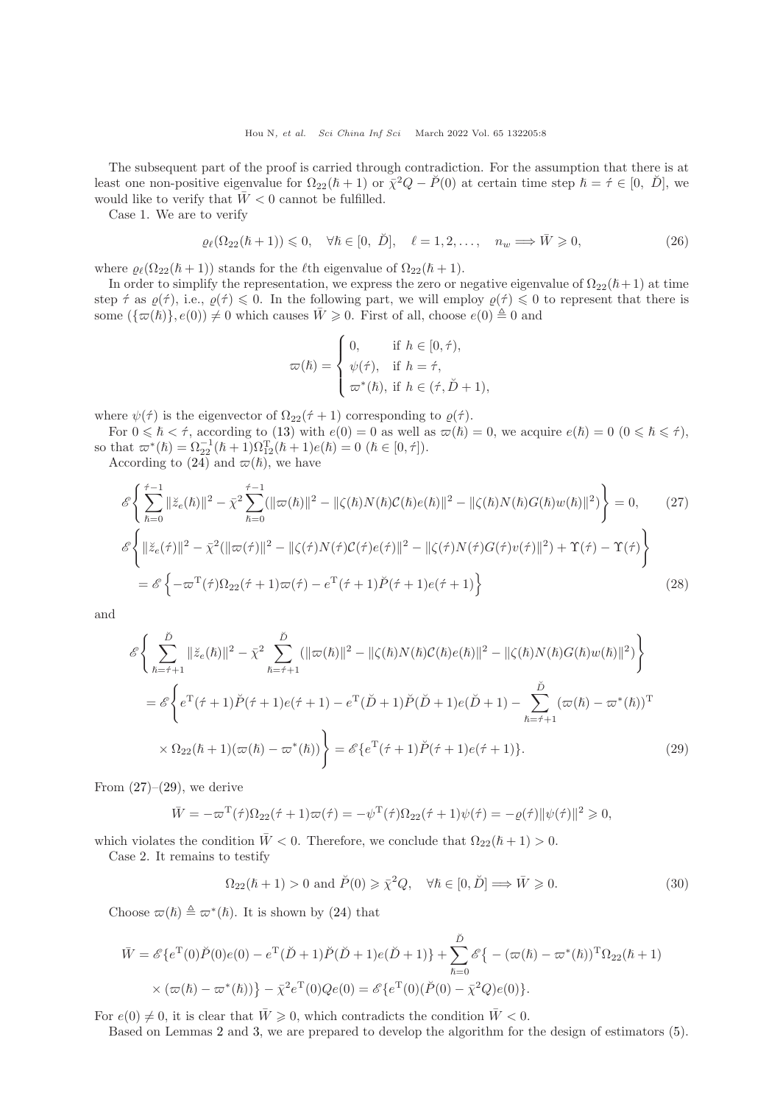The subsequent part of the proof is carried through contradiction. For the assumption that there is at least one non-positive eigenvalue for  $\Omega_{22}(\hbar+1)$  or  $\bar{\chi}^2 Q - \check{P}(0)$  at certain time step  $\hbar = \hat{\tau} \in [0, \Sigma]$ , we would like to verify that  $\bar{W} < 0$  cannot be fulfilled.

Case 1. We are to verify

$$
\varrho_{\ell}(\Omega_{22}(\hbar+1)) \leq 0, \quad \forall \hbar \in [0, \ \breve{D}], \quad \ell = 1, 2, \dots, \quad n_w \Longrightarrow \bar{W} \geq 0,\tag{26}
$$

where  $\rho_{\ell}(\Omega_{22}(\hbar+1))$  stands for the  $\ell$ th eigenvalue of  $\Omega_{22}(\hbar+1)$ .

In order to simplify the representation, we express the zero or negative eigenvalue of  $\Omega_{22}(\hbar+1)$  at time step  $\acute{\tau}$  as  $\varrho(\acute{\tau})$ , i.e.,  $\varrho(\acute{\tau}) \leq 0$ . In the following part, we will employ  $\varrho(\acute{\tau}) \leq 0$  to represent that there is some  $(\{\varpi(\hslash)\}, e(0)) \neq 0$  which causes  $\bar{W} \geq 0$ . First of all, choose  $e(0) \triangleq 0$  and

<span id="page-7-0"></span>
$$
\varpi(\hbar) = \begin{cases} 0, & \text{if } h \in [0, \hat{\tau}), \\ \psi(\hat{\tau}), & \text{if } h = \hat{\tau}, \\ \varpi^*(\hbar), & \text{if } h \in (\hat{\tau}, \check{D} + 1), \end{cases}
$$

where  $\psi(\tau)$  is the eigenvector of  $\Omega_{22}(\tau + 1)$  corresponding to  $\varrho(\tau)$ .

For  $0 \leq \hbar < \tau$ , according to [\(13\)](#page-4-4) with  $e(0) = 0$  as well as  $\varpi(\hbar) = 0$ , we acquire  $e(\hbar) = 0$   $(0 \leq \hbar \leq \tau)$ , so that  $\pi^*(\hbar) = \Omega_{22}^{-1}(\hbar + 1)\Omega_{12}^{T}(\hbar + 1)e(\hbar) = 0 \ (\hbar \in [0, \tau]).$ 

According to  $(24)$  and  $\varpi(\hslash)$ , we have

$$
\mathcal{E}\left\{\sum_{\hbar=0}^{\hat{\tau}-1} \|\ddot{z}_{e}(\hbar)\|^{2} - \bar{\chi}^{2} \sum_{\hbar=0}^{\hat{\tau}-1} (\|\varpi(\hbar)\|^{2} - \|\zeta(\hbar)N(\hbar)\mathcal{C}(\hbar)e(\hbar)\|^{2} - \|\zeta(\hbar)N(\hbar)G(\hbar)w(\hbar)\|^{2})\right\} = 0, \qquad (27)
$$
  

$$
\mathcal{E}\left\{\|\ddot{z}_{e}(\dot{\tau})\|^{2} - \bar{\chi}^{2}(\|\varpi(\dot{\tau})\|^{2} - \|\zeta(\dot{\tau})N(\dot{\tau})\mathcal{C}(\dot{\tau})e(\dot{\tau})\|^{2} - \|\zeta(\dot{\tau})N(\dot{\tau})G(\dot{\tau})v(\dot{\tau})\|^{2}) + \Upsilon(\dot{\tau}) - \Upsilon(\dot{\tau})\right\}
$$
  

$$
= \mathcal{E}\left\{-\varpi^{T}(\dot{\tau})\Omega_{22}(\dot{\tau}+1)\varpi(\dot{\tau}) - e^{T}(\dot{\tau}+1)\breve{P}(\dot{\tau}+1)e(\dot{\tau}+1)\right\}
$$
(28)

and

$$
\mathcal{E}\left\{\sum_{\hbar=\hat{\tau}+1}^{\tilde{D}}\|\ddot{z}_{e}(\hbar)\|^{2} - \bar{\chi}^{2}\sum_{\hbar=\hat{\tau}+1}^{\tilde{D}}(\|\varpi(\hbar)\|^{2} - \|\zeta(\hbar)N(\hbar)\mathcal{C}(\hbar)e(\hbar)\|^{2} - \|\zeta(\hbar)N(\hbar)G(\hbar)w(\hbar)\|^{2})\right\}
$$
  
\n
$$
= \mathcal{E}\left\{e^{T}(\hat{\tau}+1)\breve{P}(\hat{\tau}+1)e(\hat{\tau}+1)-e^{T}(\breve{D}+1)\breve{P}(\breve{D}+1)e(\breve{D}+1)-\sum_{\hbar=\hat{\tau}+1}^{\tilde{D}}(\varpi(\hbar)-\varpi^{*}(\hbar))^{T}\right\}
$$
  
\n
$$
\times \Omega_{22}(\hbar+1)(\varpi(\hbar)-\varpi^{*}(\hbar))\right\} = \mathcal{E}\left\{e^{T}(\hat{\tau}+1)\breve{P}(\hat{\tau}+1)e(\hat{\tau}+1)\right\}.
$$
 (29)

From  $(27)$ – $(29)$ , we derive

$$
\overline{W} = -\overline{\omega}^{\mathrm{T}}(\overline{\tau})\Omega_{22}(\overline{\tau} + 1)\overline{\omega}(\overline{\tau}) = -\psi^{\mathrm{T}}(\overline{\tau})\Omega_{22}(\overline{\tau} + 1)\psi(\overline{\tau}) = -\varrho(\overline{\tau})\|\psi(\overline{\tau})\|^{2} \geqslant 0,
$$

which violates the condition  $\bar{W} < 0$ . Therefore, we conclude that  $\Omega_{22}(\hbar + 1) > 0$ .

Case 2. It remains to testify

<span id="page-7-1"></span>
$$
\Omega_{22}(\hbar + 1) > 0 \text{ and } \breve{P}(0) \ge \bar{\chi}^2 Q, \quad \forall \hbar \in [0, \breve{D}] \Longrightarrow \bar{W} \ge 0. \tag{30}
$$

Choose  $\varpi(\hbar) \triangleq \varpi^*(\hbar)$ . It is shown by [\(24\)](#page-6-3) that

$$
\bar{W} = \mathcal{E}\{e^{T}(0)\breve{P}(0)e(0) - e^{T}(\breve{D}+1)\breve{P}(\breve{D}+1)e(\breve{D}+1)\} + \sum_{\hbar=0}^{\breve{D}} \mathcal{E}\{- (\varpi(\hbar) - \varpi^{*}(\hbar))^{T}\Omega_{22}(\hbar + 1) \times (\varpi(\hbar) - \varpi^{*}(\hbar))\} - \bar{\chi}^{2}e^{T}(0)Qe(0) = \mathcal{E}\{e^{T}(0)(\breve{P}(0) - \bar{\chi}^{2}Q)e(0)\}.
$$

For  $e(0) \neq 0$ , it is clear that  $\overline{W} \geq 0$ , which contradicts the condition  $\overline{W} < 0$ .

Based on Lemmas [2](#page-5-3) and [3,](#page-6-4) we are prepared to develop the algorithm for the design of estimators [\(5\)](#page-3-0).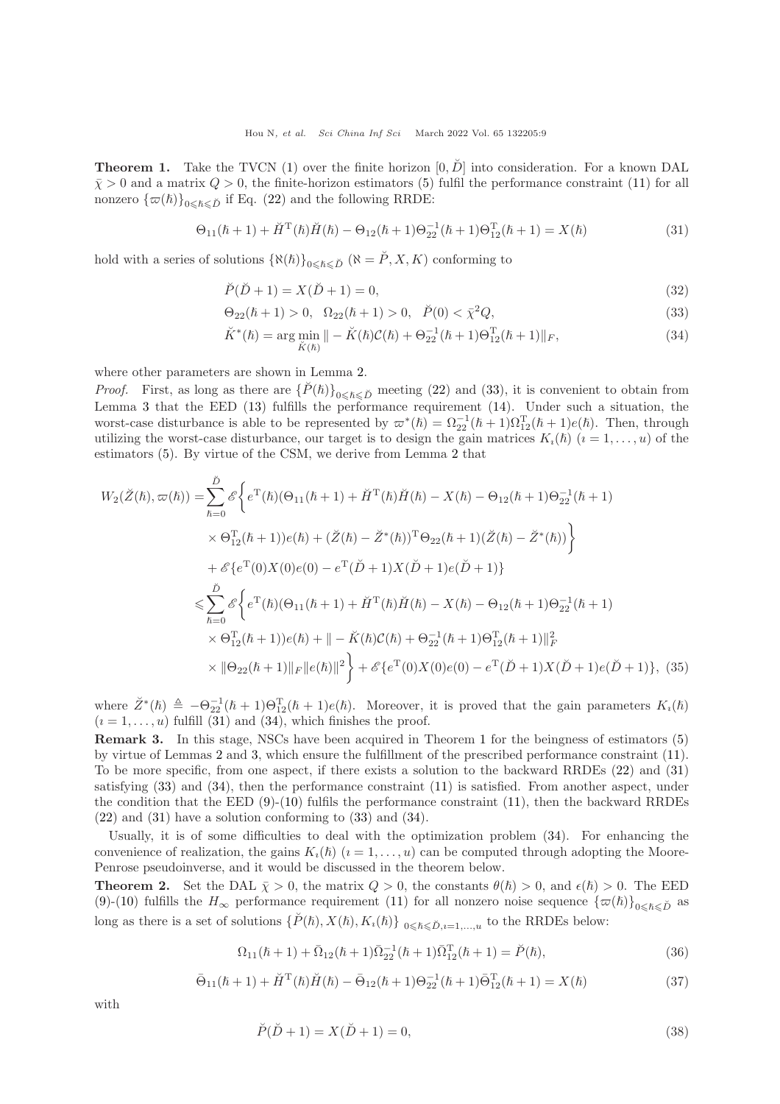<span id="page-8-3"></span>**Theorem 1.** Take the TVCN [\(1\)](#page-2-1) over the finite horizon  $[0, \tilde{D}]$  into consideration. For a known DAL  $\bar{\chi} > 0$  and a matrix  $Q > 0$ , the finite-horizon estimators [\(5\)](#page-3-0) fulfil the performance constraint [\(11\)](#page-4-3) for all nonzero  $\{\varpi(\hslash)\}_{0\leq \hslash\leq \check{D}}$  if Eq. [\(22\)](#page-6-1) and the following RRDE:

<span id="page-8-1"></span>
$$
\Theta_{11}(\hbar + 1) + \breve{H}^{T}(\hbar)\breve{H}(\hbar) - \Theta_{12}(\hbar + 1)\Theta_{22}^{-1}(\hbar + 1)\Theta_{12}^{T}(\hbar + 1) = X(\hbar)
$$
\n(31)

hold with a series of solutions  $\{\aleph(\hbar)\}_{0\leq \hbar\leq \breve{D}} (\aleph = \breve{P}, X, K)$  conforming to

$$
\breve{P}(\breve{D} + 1) = X(\breve{D} + 1) = 0,\tag{32}
$$

$$
\Theta_{22}(\hbar + 1) > 0, \ \ \Omega_{22}(\hbar + 1) > 0, \ \ \breve{P}(0) < \bar{\chi}^2 Q,\tag{33}
$$

<span id="page-8-2"></span><span id="page-8-0"></span>
$$
\breve{K}^*(\hbar) = \arg\min_{\breve{K}(\hbar)} \| - \breve{K}(\hbar)\mathcal{C}(\hbar) + \Theta_{22}^{-1}(\hbar + 1)\Theta_{12}^{\mathrm{T}}(\hbar + 1)\|_F,\tag{34}
$$

where other parameters are shown in Lemma [2.](#page-5-3)

*Proof.* First, as long as there are  $\{P(\hbar)\}_{0\leq \hbar \leq \tilde{D}}$  meeting [\(22\)](#page-6-1) and [\(33\)](#page-8-0), it is convenient to obtain from Lemma [3](#page-6-4) that the EED [\(13\)](#page-4-4) fulfills the performance requirement [\(14\)](#page-4-5). Under such a situation, the worst-case disturbance is able to be represented by  $\varpi^*(\hbar) = \Omega_{22}^{-1}(\hbar + 1)\Omega_{12}^T(\hbar + 1)e(\hbar)$ . Then, through utilizing the worst-case disturbance, our target is to design the gain matrices  $K_i(\hbar)$   $(i = 1, \ldots, u)$  of the estimators [\(5\)](#page-3-0). By virtue of the CSM, we derive from Lemma [2](#page-5-3) that

$$
W_2(\breve{Z}(\hbar), \varpi(\hbar)) = \sum_{\hbar=0}^{\breve{D}} \mathscr{E} \left\{ e^{\mathrm{T}}(\hbar) (\Theta_{11}(\hbar+1) + \breve{H}^{\mathrm{T}}(\hbar) \breve{H}(\hbar) - X(\hbar) - \Theta_{12}(\hbar+1) \Theta_{22}^{-1}(\hbar+1)) \times \Theta_{12}^{\mathrm{T}}(\hbar+1) \right\}
$$
  
\n
$$
\times \Theta_{12}^{\mathrm{T}}(\hbar+1) e(\hbar) + (\breve{Z}(\hbar) - \breve{Z}^*(\hbar))^{\mathrm{T}} \Theta_{22}(\hbar+1) (\breve{Z}(\hbar) - \breve{Z}^*(\hbar)) \right\}
$$
  
\n
$$
+ \mathscr{E} \left\{ e^{\mathrm{T}}(0) X(0) e(0) - e^{\mathrm{T}} (\breve{D} + 1) X(\breve{D} + 1) e(\breve{D} + 1) \right\}
$$
  
\n
$$
\leqslant \sum_{\hbar=0}^{\breve{D}} \mathscr{E} \left\{ e^{\mathrm{T}}(\hbar) (\Theta_{11}(\hbar+1) + \breve{H}^{\mathrm{T}}(\hbar) \breve{H}(\hbar) - X(\hbar) - \Theta_{12}(\hbar+1) \Theta_{22}^{-1}(\hbar+1)) \times \Theta_{12}^{\mathrm{T}}(\hbar+1) \right\}
$$
  
\n
$$
\times \Theta_{12}^{\mathrm{T}}(\hbar+1) e(\hbar) + || - \breve{K}(\hbar) \mathcal{C}(\hbar) + \Theta_{22}^{-1}(\hbar+1) \Theta_{12}^{\mathrm{T}}(\hbar+1) ||^2_F
$$
  
\n
$$
\times ||\Theta_{22}(\hbar+1)||_F ||e(\hbar)||^2 \right\} + \mathscr{E} \left\{ e^{\mathrm{T}}(0) X(0) e(0) - e^{\mathrm{T}} (\breve{D} + 1) X(\breve{D} + 1) e(\breve{D} + 1) \right\}, (35)
$$

where  $\check{Z}^*(\hbar) \triangleq -\Theta_{22}^{-1}(\hbar+1)\Theta_{12}^{\mathrm{T}}(\hbar+1)e(\hbar)$ . Moreover, it is proved that the gain parameters  $K_i(\hbar)$  $(i = 1, \ldots, u)$  fulfill [\(31\)](#page-8-1) and [\(34\)](#page-8-2), which finishes the proof.

Remark 3. In this stage, NSCs have been acquired in Theorem [1](#page-8-3) for the beingness of estimators [\(5\)](#page-3-0) by virtue of Lemmas [2](#page-5-3) and [3,](#page-6-4) which ensure the fulfillment of the prescribed performance constraint [\(11\)](#page-4-3). To be more specific, from one aspect, if there exists a solution to the backward RRDEs [\(22\)](#page-6-1) and [\(31\)](#page-8-1) satisfying [\(33\)](#page-8-0) and [\(34\)](#page-8-2), then the performance constraint [\(11\)](#page-4-3) is satisfied. From another aspect, under the condition that the EED  $(9)-(10)$  $(9)-(10)$  fulfils the performance constraint  $(11)$ , then the backward RRDEs [\(22\)](#page-6-1) and [\(31\)](#page-8-1) have a solution conforming to [\(33\)](#page-8-0) and [\(34\)](#page-8-2).

Usually, it is of some difficulties to deal with the optimization problem [\(34\)](#page-8-2). For enhancing the convenience of realization, the gains  $K_i(\hbar)$   $(i = 1, \ldots, u)$  can be computed through adopting the Moore-Penrose pseudoinverse, and it would be discussed in the theorem below.

<span id="page-8-7"></span>**Theorem 2.** Set the DAL  $\bar{\chi} > 0$ , the matrix  $Q > 0$ , the constants  $\theta(\hbar) > 0$ , and  $\epsilon(\hbar) > 0$ . The EED [\(9\)](#page-4-2)-[\(10\)](#page-4-1) fulfills the  $H_{\infty}$  performance requirement [\(11\)](#page-4-3) for all nonzero noise sequence  $\{\varpi(\hbar)\}_{0\leq \hbar\leq \tilde{D}}$  as long as there is a set of solutions  $\{\check{P}(\hbar), X(\hbar), K_{\iota}(\hbar)\}\mathfrak{g}_{\leq \hbar \leq \check{D}, i=1,\ldots,u}$  to the RRDEs below:

<span id="page-8-4"></span>
$$
\Omega_{11}(\hbar + 1) + \bar{\Omega}_{12}(\hbar + 1)\bar{\Omega}_{22}^{-1}(\hbar + 1)\bar{\Omega}_{12}^{T}(\hbar + 1) = \breve{P}(\hbar),
$$
\n(36)

<span id="page-8-5"></span>
$$
\bar{\Theta}_{11}(\hbar+1) + \breve{H}^{T}(\hbar)\breve{H}(\hbar) - \bar{\Theta}_{12}(\hbar+1)\Theta_{22}^{-1}(\hbar+1)\bar{\Theta}_{12}^{T}(\hbar+1) = X(\hbar)
$$
\n(37)

with

<span id="page-8-6"></span>
$$
\breve{P}(\breve{D} + 1) = X(\breve{D} + 1) = 0,\tag{38}
$$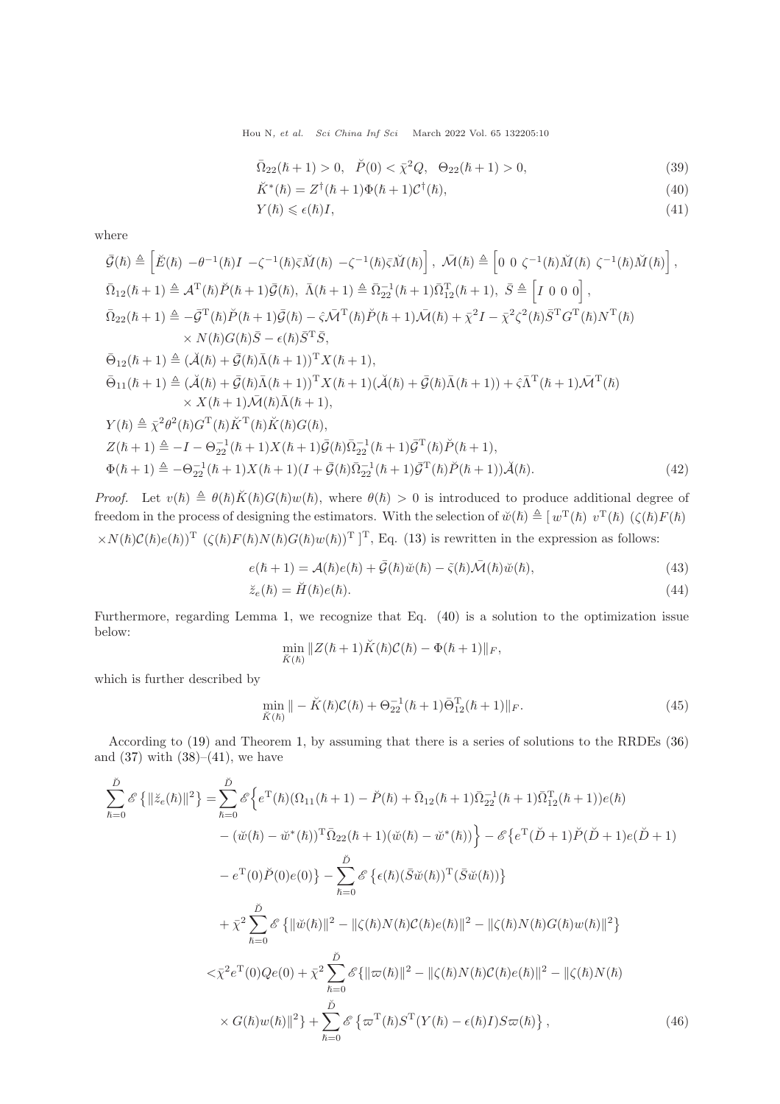Hou N, et al. Sci China Inf Sci March 2022 Vol. 65 132205:10

$$
\overline{\Omega}_{22}(\hbar+1) > 0, \quad \breve{P}(0) < \overline{\chi}^2 Q, \quad \Theta_{22}(\hbar+1) > 0,\tag{39}
$$

<span id="page-9-0"></span>
$$
\breve{K}^*(\hbar) = Z^{\dagger}(\hbar + 1)\Phi(\hbar + 1)\mathcal{C}^{\dagger}(\hbar),\tag{40}
$$

<span id="page-9-1"></span>
$$
Y(\hbar) \leqslant \epsilon(\hbar)I,\tag{41}
$$

where

$$
\bar{\mathcal{G}}(\hbar) \triangleq \left[\tilde{E}(\hbar) - \theta^{-1}(\hbar)I - \zeta^{-1}(\hbar)\bar{\zeta}\tilde{M}(\hbar) - \zeta^{-1}(\hbar)\bar{\zeta}\tilde{M}(\hbar)\right], \quad \bar{\mathcal{M}}(\hbar) \triangleq \left[0 \ 0 \ \zeta^{-1}(\hbar)\tilde{M}(\hbar) \ \zeta^{-1}(\hbar)\tilde{M}(\hbar)\right],
$$
\n
$$
\bar{\Omega}_{12}(\hbar + 1) \triangleq \mathcal{A}^{T}(\hbar)\tilde{P}(\hbar + 1)\bar{\mathcal{G}}(\hbar), \quad \bar{\Lambda}(\hbar + 1) \triangleq \bar{\Omega}_{22}^{-1}(\hbar + 1)\bar{\Omega}_{12}^{T}(\hbar + 1), \quad \bar{S} \triangleq \left[I \ 0 \ 0 \ 0\right],
$$
\n
$$
\bar{\Omega}_{22}(\hbar + 1) \triangleq -\bar{\mathcal{G}}^{T}(\hbar)\tilde{P}(\hbar + 1)\bar{\mathcal{G}}(\hbar) - \hat{\zeta}\bar{\mathcal{M}}^{T}(\hbar)\tilde{P}(\hbar + 1)\bar{\mathcal{M}}(\hbar) + \bar{\chi}^{2}I - \bar{\chi}^{2}\zeta^{2}(\hbar)\bar{S}^{T}G^{T}(\hbar)N^{T}(\hbar)
$$
\n
$$
\times N(\hbar)G(\hbar)\bar{S} - \epsilon(\hbar)\bar{S}^{T}\bar{S},
$$
\n
$$
\bar{\Theta}_{12}(\hbar + 1) \triangleq (\tilde{\mathcal{A}}(\hbar) + \bar{\mathcal{G}}(\hbar)\bar{\Lambda}(\hbar + 1))^{T}X(\hbar + 1),
$$
\n
$$
\bar{\Theta}_{11}(\hbar + 1) \triangleq (\tilde{\mathcal{A}}(\hbar) + \bar{\mathcal{G}}(\hbar)\bar{\Lambda}(\hbar + 1))^{T}X(\hbar + 1)(\tilde{\mathcal{A}}(\hbar) + \bar{\mathcal{G}}(\hbar)\bar{\Lambda}(\hbar + 1)) + \hat{\zeta}\bar{\Lambda}^{T}(\hbar + 1)\bar{\mathcal{M}}^{T}(\hbar)
$$
\n
$$
\times X(\hbar + 1)\bar{\mathcal{M}}(\hbar)\bar{\Lambda}(\hbar + 1
$$

*Proof.* Let  $v(\hbar) \triangleq \theta(\hbar)\breve{K}(\hbar)G(\hbar)w(\hbar)$ , where  $\theta(\hbar) > 0$  is introduced to produce additional degree of freedom in the process of designing the estimators. With the selection of  $\breve{w}(h) \triangleq [w^{\mathrm{T}}(h) v^{\mathrm{T}}(h) (\zeta(h) F(h))]$  $\times N(\hbar)C(\hbar)e(\hbar))^T$   $(\zeta(\hbar)F(\hbar)N(\hbar)G(\hbar)w(\hbar))^T$  <sup>T</sup>, Eq. [\(13\)](#page-4-4) is rewritten in the expression as follows:

$$
e(\hbar + 1) = \mathcal{A}(\hbar)e(\hbar) + \bar{\mathcal{G}}(\hbar)\breve{w}(\hbar) - \tilde{\varsigma}(\hbar)\bar{\mathcal{M}}(\hbar)\breve{w}(\hbar), \tag{43}
$$

$$
\breve{z}_e(\hbar) = \breve{H}(\hbar)e(\hbar). \tag{44}
$$

Furthermore, regarding Lemma [1,](#page-4-6) we recognize that Eq. [\(40\)](#page-9-0) is a solution to the optimization issue below:

<span id="page-9-3"></span>
$$
\min_{\breve{K}(\hslash)} \|Z(\hslash+1)\breve{K}(\hslash)\mathcal{C}(\hslash)-\Phi(\hslash+1)\|_F,
$$

which is further described by

<span id="page-9-2"></span>
$$
\min_{\breve{K}(\hbar)} \| - \breve{K}(\hbar) \mathcal{C}(\hbar) + \Theta_{22}^{-1} (\hbar + 1) \bar{\Theta}_{12}^{\mathrm{T}} (\hbar + 1) \|_{F}.
$$
\n(45)

According to [\(19\)](#page-5-2) and Theorem [1,](#page-8-3) by assuming that there is a series of solutions to the RRDEs [\(36\)](#page-8-4) and  $(37)$  with  $(38)–(41)$  $(38)–(41)$ , we have

$$
\sum_{\hbar=0}^{\tilde{D}} \mathscr{E}\left\{ \|\ddot{z}_{e}(\hbar)\|^{2} \right\} = \sum_{\hbar=0}^{\tilde{D}} \mathscr{E}\left\{ e^{T}(\hbar)(\Omega_{11}(\hbar+1) - \breve{P}(\hbar) + \bar{\Omega}_{12}(\hbar+1)\bar{\Omega}_{22}^{-1}(\hbar+1)\bar{\Omega}_{12}^{T}(\hbar+1))e(\hbar) - (\breve{w}(\hbar) - \breve{w}^{*}(\hbar))^{T}\bar{\Omega}_{22}(\hbar+1)(\breve{w}(\hbar) - \breve{w}^{*}(\hbar)) \right\} - \mathscr{E}\left\{ e^{T}(\breve{D}+1)\breve{P}(\breve{D}+1)e(\breve{D}+1) - e^{T}(0)\breve{P}(0)e(0) \right\} - \sum_{\hbar=0}^{\tilde{D}} \mathscr{E}\left\{ \epsilon(\hbar)(\bar{S}\breve{w}(\hbar))^{T}(\bar{S}\breve{w}(\hbar)) \right\} + \bar{\chi}^{2} \sum_{\hbar=0}^{\tilde{D}} \mathscr{E}\left\{ \|\breve{w}(\hbar)\|^{2} - \|\zeta(\hbar)N(\hbar)C(\hbar)e(\hbar)\|^{2} - \|\zeta(\hbar)N(\hbar)G(\hbar)w(\hbar)\|^{2} \right\} - \langle \bar{\chi}^{2}e^{T}(0)Qe(0) + \bar{\chi}^{2} \sum_{\hbar=0}^{\tilde{D}} \mathscr{E}\left\{ \|\varpi(\hbar)\|^{2} - \|\zeta(\hbar)N(\hbar)C(\hbar)e(\hbar)\|^{2} - \|\zeta(\hbar)N(\hbar) - \langle \zeta(\hbar)N(\hbar) - \langle \zeta(\hbar)N(\hbar) \rangle \right\} - \langle \zeta(\hbar)w(\hbar)\|^{2} \right\} + \sum_{\hbar=0}^{\tilde{D}} \mathscr{E}\left\{ \varpi^{T}(\hbar)S^{T}(Y(\hbar) - \epsilon(\hbar)I)S\varpi(\hbar) \right\}, \tag{46}
$$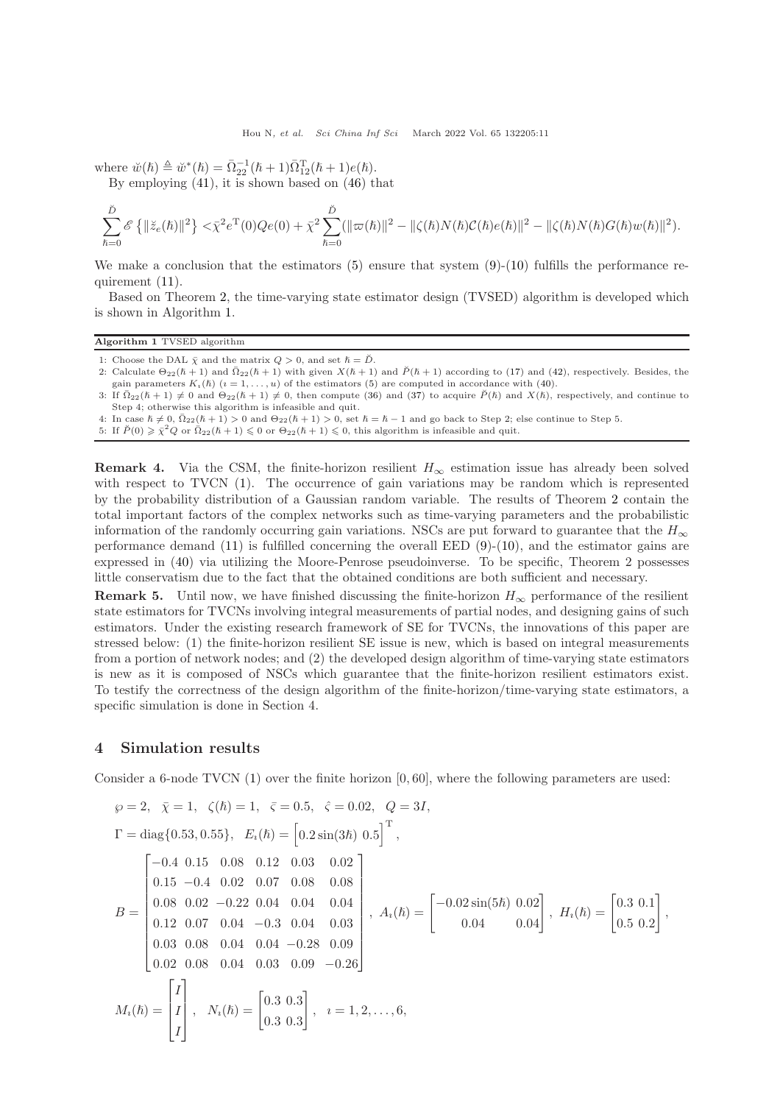where  $\breve{w}(\hbar) \triangleq \breve{w}^*(\hbar) = \bar{\Omega}_{22}^{-1}(\hbar + 1)\bar{\Omega}_{12}^{T}(\hbar + 1)e(\hbar).$ 

By employing [\(41\)](#page-9-1), it is shown based on [\(46\)](#page-9-2) that

$$
\sum_{\hbar=0}^{\check{D}} \mathscr{E}\left\{\|\breve{z}_{e}(\hbar)\|^{2}\right\} < \bar{\chi}^{2} e^{T}(0) Q e(0) + \bar{\chi}^{2} \sum_{\hbar=0}^{\check{D}} (\|\varpi(\hbar)\|^{2} - \|\zeta(\hbar)N(\hbar)\mathcal{C}(\hbar)e(\hbar)\|^{2} - \|\zeta(\hbar)N(\hbar)G(\hbar)w(\hbar)\|^{2}).
$$

We make a conclusion that the estimators  $(5)$  ensure that system  $(9)-(10)$  $(9)-(10)$  fulfills the performance requirement [\(11\)](#page-4-3).

Based on Theorem [2,](#page-8-7) the time-varying state estimator design (TVSED) algorithm is developed which is shown in Algorithm [1.](#page-10-1)

#### <span id="page-10-1"></span>Algorithm 1 TVSED algorithm

- 1: Choose the DAL  $\bar{\chi}$  and the matrix  $Q > 0$ , and set  $\hbar = \check{D}$ .
- 2: Calculate  $\Theta_{22}(\hbar+1)$  and  $\overline{\Omega}_{22}(\hbar+1)$  with given  $X(\hbar+1)$  and  $\breve{P}(\hbar+1)$  according to [\(17\)](#page-5-4) and [\(42\)](#page-9-3), respectively. Besides, the gain parameters  $K_{\alpha}(\hbar)$   $(i = 1, \ldots, n)$  of the estimators [\(5\)](#page-3-0) are computed in accordance with [\(40\)](#page-9-0).
- 3: If  $\overline{\Omega}_{22}(\hbar+1) \neq 0$  and  $\Theta_{22}(\hbar+1) \neq 0$ , then compute [\(36\)](#page-8-4) and [\(37\)](#page-8-5) to acquire  $\check{P}(\hbar)$  and  $X(\hbar)$ , respectively, and continue to Step 4; otherwise this algorithm is infeasible and quit.
- 4: In case  $\hbar \neq 0$ ,  $\bar{\Omega}_{22}(\hbar + 1) > 0$  and  $\Theta_{22}(\hbar + 1) > 0$ , set  $\hbar = \hbar 1$  and go back to Step 2; else continue to Step 5.
- 5: If  $\check{P}(0) \geq \bar{\chi}^2 Q$  or  $\bar{\Omega}_{22}(\hbar + 1) \leq 0$  or  $\Theta_{22}(\hbar + 1) \leq 0$ , this algorithm is infeasible and quit.

**Remark 4.** Via the CSM, the finite-horizon resilient  $H_{\infty}$  estimation issue has already been solved with respect to TVCN [\(1\)](#page-2-1). The occurrence of gain variations may be random which is represented by the probability distribution of a Gaussian random variable. The results of Theorem [2](#page-8-7) contain the total important factors of the complex networks such as time-varying parameters and the probabilistic information of the randomly occurring gain variations. NSCs are put forward to guarantee that the  $H_{\infty}$ performance demand  $(11)$  is fulfilled concerning the overall EED  $(9)-(10)$  $(9)-(10)$ , and the estimator gains are expressed in [\(40\)](#page-9-0) via utilizing the Moore-Penrose pseudoinverse. To be specific, Theorem 2 possesses little conservatism due to the fact that the obtained conditions are both sufficient and necessary.

**Remark 5.** Until now, we have finished discussing the finite-horizon  $H_{\infty}$  performance of the resilient state estimators for TVCNs involving integral measurements of partial nodes, and designing gains of such estimators. Under the existing research framework of SE for TVCNs, the innovations of this paper are stressed below: (1) the finite-horizon resilient SE issue is new, which is based on integral measurements from a portion of network nodes; and (2) the developed design algorithm of time-varying state estimators is new as it is composed of NSCs which guarantee that the finite-horizon resilient estimators exist. To testify the correctness of the design algorithm of the finite-horizon/time-varying state estimators, a specific simulation is done in Section 4.

#### <span id="page-10-0"></span>4 Simulation results

Consider a 6-node TVCN  $(1)$  over the finite horizon  $[0, 60]$ , where the following parameters are used:

$$
\wp = 2, \quad \bar{\chi} = 1, \quad \zeta(\hbar) = 1, \quad \bar{\varsigma} = 0.5, \quad \hat{\varsigma} = 0.02, \quad Q = 3I,
$$
\n
$$
\Gamma = \text{diag}\{0.53, 0.55\}, \quad E_i(\hbar) = \begin{bmatrix} 0.2 \sin(3\hbar) & 0.5 \end{bmatrix}^T,
$$
\n
$$
B = \begin{bmatrix} -0.4 & 0.15 & 0.08 & 0.12 & 0.03 & 0.02 \\ 0.15 & -0.4 & 0.02 & 0.07 & 0.08 & 0.08 \\ 0.08 & 0.02 & -0.22 & 0.04 & 0.04 & 0.04 \\ 0.12 & 0.07 & 0.04 & -0.3 & 0.04 & 0.03 \\ 0.03 & 0.08 & 0.04 & 0.04 & -0.28 & 0.09 \\ 0.02 & 0.08 & 0.04 & 0.03 & 0.09 & -0.26 \end{bmatrix}, \quad A_i(\hbar) = \begin{bmatrix} -0.02 \sin(5\hbar) & 0.02 \\ 0.04 & 0.04 \end{bmatrix}, \quad H_i(\hbar) = \begin{bmatrix} 0.3 & 0.1 \\ 0.5 & 0.2 \end{bmatrix},
$$
\n
$$
M_i(\hbar) = \begin{bmatrix} I \\ I \\ I \end{bmatrix}, \quad N_i(\hbar) = \begin{bmatrix} 0.3 & 0.3 \\ 0.3 & 0.3 \end{bmatrix}, \quad i = 1, 2, ..., 6,
$$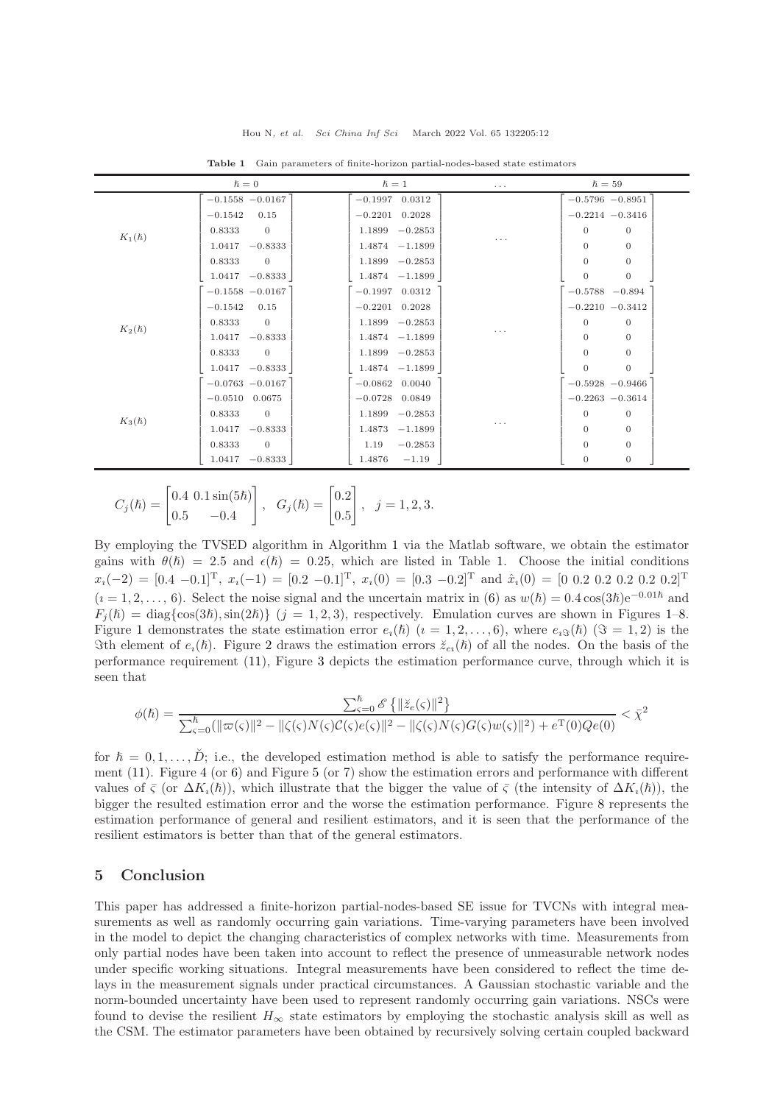<span id="page-11-1"></span>

|              | $\hslash=0$              | $\hslash=1$         | $\cdots$ | $\hslash = 59$                 |
|--------------|--------------------------|---------------------|----------|--------------------------------|
| $K_1(\hbar)$ | $-0.1558 - 0.0167$       | $-0.1997$ 0.0312    | $\cdots$ | $-0.5796 -0.8951$              |
|              | $-0.1542$<br>0.15        | $-0.2201$ 0.2028    |          | $-0.2214 - 0.3416$             |
|              | $\overline{0}$<br>0.8333 | $1.1899 - 0.2853$   |          | $\theta$<br>$\theta$           |
|              | 1.0417<br>$-0.8333$      | $1.4874 - 1.1899$   |          | $\theta$<br>$\theta$           |
|              | 0.8333<br>$\overline{0}$ | $1.1899 - 0.2853$   |          | $\theta$<br>$\theta$           |
|              | $1.0417 - 0.8333$        | $1.4874 - 1.1899$   |          | $\mathbf{0}$<br>$\overline{0}$ |
| $K_2(\hbar)$ | $-0.1558 - 0.0167$       | $-0.1997$ 0.0312    | $\cdots$ | $-0.5788 - 0.894$              |
|              | $-0.1542$<br>0.15        | $-0.2201$ 0.2028    |          | $-0.2210 -0.3412$              |
|              | 0.8333<br>$\overline{0}$ | $1.1899 - 0.2853$   |          | $\mathbf{0}$<br>$\mathbf{0}$   |
|              | $-0.8333$<br>1.0417      | $1.4874 - 1.1899$   |          | $\theta$<br>$\theta$           |
|              | 0.8333<br>$\overline{0}$ | $1.1899 - 0.2853$   |          | $\theta$<br>$\theta$           |
|              | $1.0417 - 0.8333$        | $1.4874 - 1.1899$   |          | $\theta$<br>$\theta$           |
| $K_3(\hbar)$ | $-0.0763 - 0.0167$       | $-0.0862$ 0.0040    | $\cdots$ | $-0.5928 - 0.9466$             |
|              | $-0.0510$ 0.0675         | $-0.0728$ 0.0849    |          | $-0.2263 - 0.3614$             |
|              | 0.8333<br>$\overline{0}$ | $-0.2853$<br>1.1899 |          | $\theta$<br>$\theta$           |
|              | $-0.8333$<br>1.0417      | 1.4873<br>$-1.1899$ |          | $\theta$<br>$\theta$           |
|              | 0.8333<br>$\overline{0}$ | $-0.2853$<br>1.19   |          | $\theta$<br>$\theta$           |
|              | $-0.8333$<br>1.0417      | 1.4876<br>$-1.19$   |          | $\mathbf{0}$<br>$\mathbf{0}$   |

Table 1 Gain parameters of finite-horizon partial-nodes-based state estimators

$$
C_j(\hbar) = \begin{bmatrix} 0.4 & 0.1 \sin(5\hbar) \\ 0.5 & -0.4 \end{bmatrix}, \quad G_j(\hbar) = \begin{bmatrix} 0.2 \\ 0.5 \end{bmatrix}, \quad j = 1, 2, 3.
$$

By employing the TVSED algorithm in Algorithm [1](#page-10-1) via the Matlab software, we obtain the estimator gains with  $\theta(\hbar) = 2.5$  and  $\epsilon(\hbar) = 0.25$ , which are listed in Table [1.](#page-11-1) Choose the initial conditions  $x_i(-2) = [0.4 \ -0.1]^T$ ,  $x_i(-1) = [0.2 \ -0.1]^T$ ,  $x_i(0) = [0.3 \ -0.2]^T$  and  $\hat{x}_i(0) = [0 \ 0.2 \ 0.2 \ 0.2 \ 0.2 \ 0.2]^T$  $(i = 1, 2, \ldots, 6)$ . Select the noise signal and the uncertain matrix in [\(6\)](#page-3-3) as  $w(h) = 0.4 \cos(3h)e^{-0.01\hbar}$  and  $F_i(\hbar) = \text{diag}\{\cos(3\hbar), \sin(2\hbar)\}\ (j = 1, 2, 3)$ , respectively. Emulation curves are shown in Figures [1–](#page-12-0)[8.](#page-13-19) Figure [1](#page-12-0) demonstrates the state estimation error  $e_i(\hbar)$   $(i = 1, 2, \ldots, 6)$ , where  $e_i\mathfrak{F}(\hbar)$   $(\Im = 1, 2)$  is the Sth element of  $e_i(\hbar)$ . Figure [2](#page-12-0) draws the estimation errors  $\breve{z}_{e_i}(\hbar)$  of all the nodes. On the basis of the performance requirement [\(11\)](#page-4-3), Figure [3](#page-12-1) depicts the estimation performance curve, through which it is seen that

$$
\phi(\hbar) = \frac{\sum_{\varsigma=0}^{\hbar}\mathscr{E}\left\{\|\breve{z}_e(\varsigma)\|^2\right\}}{\sum_{\varsigma=0}^{\hbar}(\|\varpi(\varsigma)\|^2 - \|\zeta(\varsigma)N(\varsigma)\mathcal{C}(\varsigma)e(\varsigma)\|^2 - \|\zeta(\varsigma)N(\varsigma)G(\varsigma)w(\varsigma)\|^2) + e^{\operatorname{T}}(0)Qe(0)} < \bar{\chi}^2
$$

for  $\hbar = 0, 1, \ldots, \tilde{D}$ ; i.e., the developed estimation method is able to satisfy the performance requirement  $(11)$ . Figure [4](#page-12-1) (or [6\)](#page-12-2) and Figure [5](#page-12-2) (or [7\)](#page-13-19) show the estimation errors and performance with different values of  $\overline{\varsigma}$  (or  $\Delta K_i(\hbar)$ ), which illustrate that the bigger the value of  $\overline{\varsigma}$  (the intensity of  $\Delta K_i(\hbar)$ ), the bigger the resulted estimation error and the worse the estimation performance. Figure [8](#page-13-19) represents the estimation performance of general and resilient estimators, and it is seen that the performance of the resilient estimators is better than that of the general estimators.

## <span id="page-11-0"></span>5 Conclusion

This paper has addressed a finite-horizon partial-nodes-based SE issue for TVCNs with integral measurements as well as randomly occurring gain variations. Time-varying parameters have been involved in the model to depict the changing characteristics of complex networks with time. Measurements from only partial nodes have been taken into account to reflect the presence of unmeasurable network nodes under specific working situations. Integral measurements have been considered to reflect the time delays in the measurement signals under practical circumstances. A Gaussian stochastic variable and the norm-bounded uncertainty have been used to represent randomly occurring gain variations. NSCs were found to devise the resilient  $H_{\infty}$  state estimators by employing the stochastic analysis skill as well as the CSM. The estimator parameters have been obtained by recursively solving certain coupled backward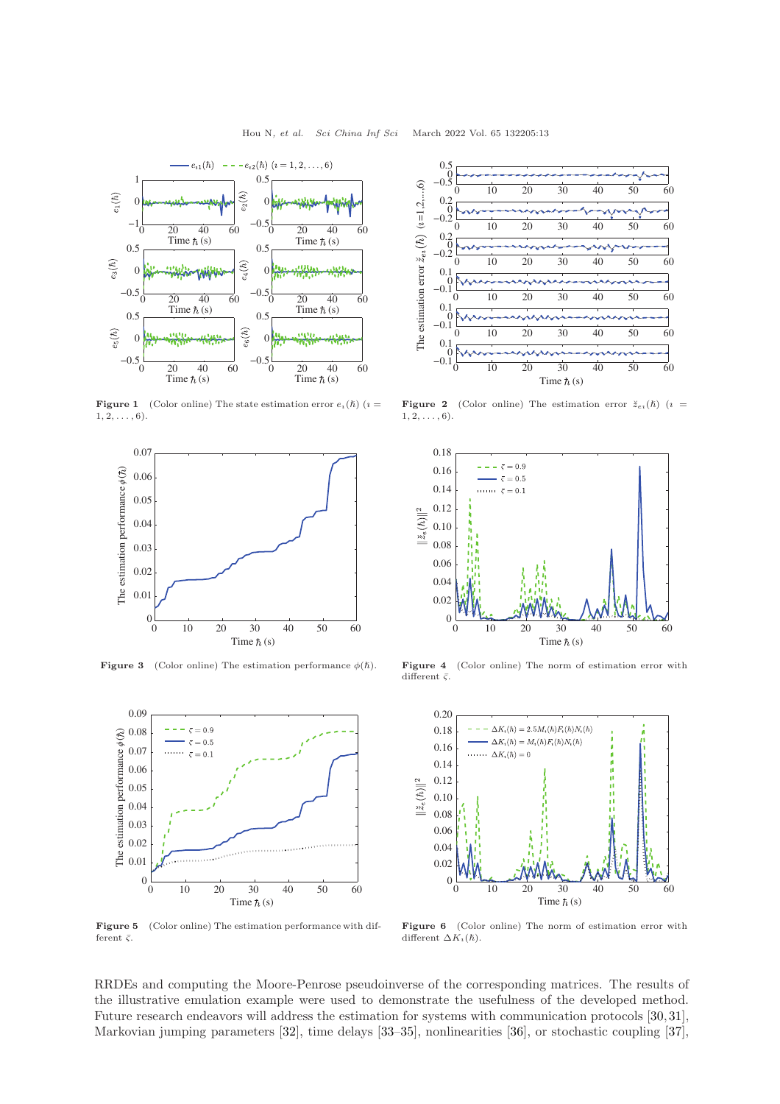<span id="page-12-0"></span>

**Figure 1** (Color online) The state estimation error  $e_i(\hbar)$  ( $i =$  $1, 2, \ldots, 6$ ).

<span id="page-12-1"></span>

<span id="page-12-2"></span>

Figure 5 (Color online) The estimation performance with different  $\bar{\varsigma}$ .



**Figure 2** (Color online) The estimation error  $\breve{z}_{e}$  ( $\hbar$ ) ( $i =$  $1, 2, \ldots, 6$ .



Figure 3 (Color online) The estimation performance  $\phi(\hbar)$ . Figure 4 (Color online) The norm of estimation error with different  $\bar{\varsigma}$ .



Figure 6 (Color online) The norm of estimation error with different  $\Delta K_i(\hslash)$ .

RRDEs and computing the Moore-Penrose pseudoinverse of the corresponding matrices. The results of the illustrative emulation example were used to demonstrate the usefulness of the developed method. Future research endeavors will address the estimation for systems with communication protocols [\[30,](#page-14-10)[31\]](#page-14-11), Markovian jumping parameters [\[32\]](#page-14-12), time delays [\[33–](#page-14-13)[35\]](#page-14-14), nonlinearities [\[36\]](#page-14-15), or stochastic coupling [\[37\]](#page-14-16),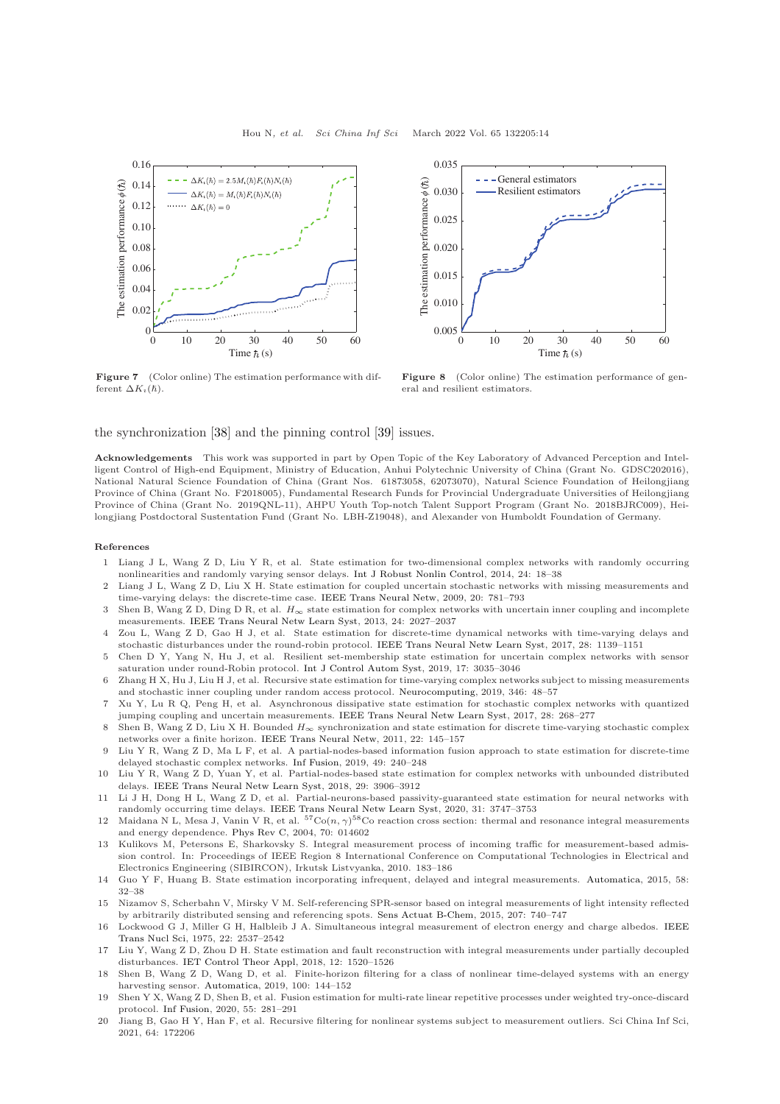<span id="page-13-19"></span>

Figure 7 (Color online) The estimation performance with different  $\Delta K_i(\hbar)$ .



Figure 8 (Color online) The estimation performance of general and resilient estimators.

the synchronization [\[38\]](#page-14-17) and the pinning control [\[39\]](#page-14-18) issues.

Acknowledgements This work was supported in part by Open Topic of the Key Laboratory of Advanced Perception and Intelligent Control of High-end Equipment, Ministry of Education, Anhui Polytechnic University of China (Grant No. GDSC202016), National Natural Science Foundation of China (Grant Nos. 61873058, 62073070), Natural Science Foundation of Heilongjiang Province of China (Grant No. F2018005), Fundamental Research Funds for Provincial Undergraduate Universities of Heilongjiang Province of China (Grant No. 2019QNL-11), AHPU Youth Top-notch Talent Support Program (Grant No. 2018BJRC009), Heilongjiang Postdoctoral Sustentation Fund (Grant No. LBH-Z19048), and Alexander von Humboldt Foundation of Germany.

#### <span id="page-13-0"></span>References

- 1 Liang J L, Wang Z D, Liu Y R, et al. State estimation for two-dimensional complex networks with randomly occurring nonlinearities and randomly varying sensor delays. [Int J Robust Nonlin Control,](https://doi.org/10.1002/rnc.2869) 2014, 24: 18–38
- <span id="page-13-1"></span>2 Liang J L, Wang Z D, Liu X H. State estimation for coupled uncertain stochastic networks with missing measurements and time-varying delays: the discrete-time case. [IEEE Trans Neural Netw,](https://doi.org/10.1109/TNN.2009.2013240) 2009, 20: 781–793
- <span id="page-13-2"></span>3 Shen B, Wang Z D, Ding D R, et al. H∞ state estimation for complex networks with uncertain inner coupling and incomplete measurements. [IEEE Trans Neural Netw Learn Syst,](https://doi.org/10.1109/TNNLS.2013.2271357) 2013, 24: 2027–2037
- <span id="page-13-3"></span>4 Zou L, Wang Z D, Gao H J, et al. State estimation for discrete-time dynamical networks with time-varying delays and stochastic disturbances under the round-robin protocol. [IEEE Trans Neural Netw Learn Syst,](https://doi.org/10.1109/TNNLS.2016.2524621) 2017, 28: 1139–1151
- <span id="page-13-4"></span>5 Chen D Y, Yang N, Hu J, et al. Resilient set-membership state estimation for uncertain complex networks with sensor saturation under round-Robin protocol. [Int J Control Autom Syst,](https://doi.org/10.1007/s12555-018-0780-8) 2019, 17: 3035–3046
- <span id="page-13-5"></span>6 Zhang H X, Hu J, Liu H J, et al. Recursive state estimation for time-varying complex networks subject to missing measurements and stochastic inner coupling under random access protocol. [Neurocomputing,](https://doi.org/10.1016/j.neucom.2018.07.086) 2019, 346: 48–57
- <span id="page-13-6"></span>7 Xu Y, Lu R Q, Peng H, et al. Asynchronous dissipative state estimation for stochastic complex networks with quantized jumping coupling and uncertain measurements. [IEEE Trans Neural Netw Learn Syst,](https://doi.org/10.1109/TNNLS.2015.2503772) 2017, 28: 268–277
- <span id="page-13-7"></span>8 Shen B, Wang Z D, Liu X H. Bounded  $H_{\infty}$  synchronization and state estimation for discrete time-varying stochastic complex networks over a finite horizon. [IEEE Trans Neural Netw,](https://doi.org/10.1109/TNN.2010.2090669) 2011, 22: 145–157
- <span id="page-13-8"></span>9 Liu Y R, Wang Z D, Ma L F, et al. A partial-nodes-based information fusion approach to state estimation for discrete-time delayed stochastic complex networks. [Inf Fusion,](https://doi.org/10.1016/j.inffus.2018.12.011) 2019, 49: 240–248
- <span id="page-13-10"></span>10 Liu Y R, Wang Z D, Yuan Y, et al. Partial-nodes-based state estimation for complex networks with unbounded distributed delays. [IEEE Trans Neural Netw Learn Syst,](https://doi.org/10.1109/TNNLS.2017.2740400) 2018, 29: 3906–3912
- <span id="page-13-9"></span>11 Li J H, Dong H L, Wang Z D, et al. Partial-neurons-based passivity-guaranteed state estimation for neural networks with randomly occurring time delays. [IEEE Trans Neural Netw Learn Syst,](https://doi.org/10.1109/TNNLS.2019.2944552) 2020, 31: 3747–3753
- <span id="page-13-11"></span>12 Maidana N L, Mesa J, Vanin V R, et al.  ${}^{57}Co(n, \gamma){}^{58}Co$  reaction cross section: thermal and resonance integral measurements and energy dependence. [Phys Rev C,](https://doi.org/10.1103/PhysRevC.70.014602) 2004, 70: 014602
- <span id="page-13-12"></span>13 Kulikovs M, Petersons E, Sharkovsky S. Integral measurement process of incoming traffic for measurement-based admission control. In: Proceedings of IEEE Region 8 International Conference on Computational Technologies in Electrical and Electronics Engineering (SIBIRCON), Irkutsk Listvyanka, 2010. 183–186
- <span id="page-13-13"></span>14 Guo Y F, Huang B. State estimation incorporating infrequent, delayed and integral measurements. [Automatica,](https://doi.org/10.1016/j.automatica.2015.05.001) 2015, 58: 32–38
- <span id="page-13-14"></span>15 Nizamov S, Scherbahn V, Mirsky V M. Self-referencing SPR-sensor based on integral measurements of light intensity reflected by arbitrarily distributed sensing and referencing spots. [Sens Actuat B-Chem,](https://doi.org/10.1016/j.snb.2014.10.022) 2015, 207: 740–747
- <span id="page-13-15"></span>16 Lockwood G J[, Miller G H, Halbleib J A. Simultaneous integral measurement of electron energy and charge albedos.](https://doi.org/10.1109/TNS.1975.4328164) IEEE Trans Nucl Sci, 1975, 22: 2537–2542
- <span id="page-13-16"></span>17 Liu Y, Wang Z D, Zhou D H. State estimation and fault reconstruction with integral measurements under partially decoupled disturbances. [IET Control Theor Appl,](https://doi.org/10.1049/iet-cta.2017.1119) 2018, 12: 1520–1526
- <span id="page-13-17"></span>18 Shen B, Wang Z D, Wang D, et al. Finite-horizon filtering for a class of nonlinear time-delayed systems with an energy harvesting sensor. [Automatica,](https://doi.org/10.1016/j.automatica.2018.11.010) 2019, 100: 144–152
- 19 Shen Y X, Wang Z D, Shen B, et al. Fusion estimation for multi-rate linear repetitive processes under weighted try-once-discard protocol. [Inf Fusion,](https://doi.org/10.1016/j.inffus.2019.08.013) 2020, 55: 281–291
- <span id="page-13-18"></span>20 Jiang B, Gao H Y, Han F, et al. Recursive filtering for nonlinear systems subject to measurement outliers. Sci China Inf Sci, 2021, 64: 172206